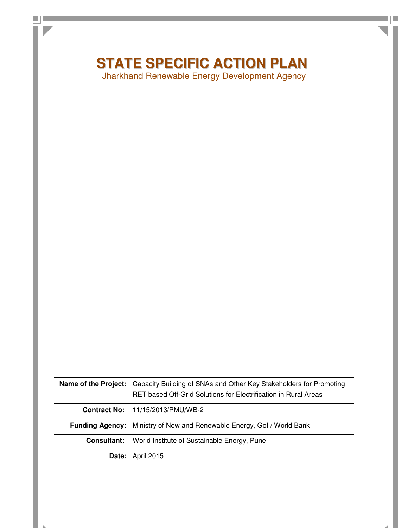# **STATE SPECIFIC ACTION PLAN**

н

 $\Box$   $\Box$ 

Jharkhand Renewable Energy Development Agency

|                    | <b>Name of the Project:</b> Capacity Building of SNAs and Other Key Stakeholders for Promoting |  |  |
|--------------------|------------------------------------------------------------------------------------------------|--|--|
|                    | RET based Off-Grid Solutions for Electrification in Rural Areas                                |  |  |
|                    | <b>Contract No:</b> 11/15/2013/PMU/WB-2                                                        |  |  |
|                    | <b>Funding Agency:</b> Ministry of New and Renewable Energy, Gol / World Bank                  |  |  |
| <b>Consultant:</b> | World Institute of Sustainable Energy, Pune                                                    |  |  |
|                    | Date: April 2015                                                                               |  |  |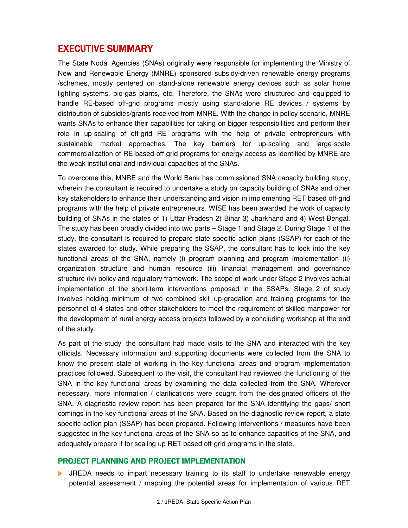## EXECUTIVE SUMMARY

The State Nodal Agencies (SNAs) originally were responsible for implementing the Ministry of New and Renewable Energy (MNRE) sponsored subsidy-driven renewable energy programs /schemes, mostly centered on stand-alone renewable energy devices such as solar home lighting systems, bio-gas plants, etc. Therefore, the SNAs were structured and equipped to handle RE-based off-grid programs mostly using stand-alone RE devices / systems by distribution of subsidies/grants received from MNRE. With the change in policy scenario, MNRE wants SNAs to enhance their capabilities for taking on bigger responsibilities and perform their role in up-scaling of off-grid RE programs with the help of private entrepreneurs with sustainable market approaches. The key barriers for up-scaling and large-scale commercialization of RE-based-off-grid programs for energy access as identified by MNRE are the weak institutional and individual capacities of the SNAs.

To overcome this, MNRE and the World Bank has commissioned SNA capacity building study, wherein the consultant is required to undertake a study on capacity building of SNAs and other key stakeholders to enhance their understanding and vision in implementing RET based off-grid programs with the help of private entrepreneurs. WISE has been awarded the work of capacity building of SNAs in the states of 1) Uttar Pradesh 2) Bihar 3) Jharkhand and 4) West Bengal. The study has been broadly divided into two parts – Stage 1 and Stage 2. During Stage 1 of the study, the consultant is required to prepare state specific action plans (SSAP) for each of the states awarded for study. While preparing the SSAP, the consultant has to look into the key functional areas of the SNA, namely (i) program planning and program implementation (ii) organization structure and human resource (iii) financial management and governance structure (iv) policy and regulatory framework. The scope of work under Stage 2 involves actual implementation of the short-term interventions proposed in the SSAPs. Stage 2 of study involves holding minimum of two combined skill up-gradation and training programs for the personnel of 4 states and other stakeholders to meet the requirement of skilled manpower for the development of rural energy access projects followed by a concluding workshop at the end of the study.

As part of the study, the consultant had made visits to the SNA and interacted with the key officials. Necessary information and supporting documents were collected from the SNA to know the present state of working in the key functional areas and program implementation practices followed. Subsequent to the visit, the consultant had reviewed the functioning of the SNA in the key functional areas by examining the data collected from the SNA. Wherever necessary, more information / clarifications were sought from the designated officers of the SNA. A diagnostic review report has been prepared for the SNA identifying the gaps/ short comings in the key functional areas of the SNA. Based on the diagnostic review report, a state specific action plan (SSAP) has been prepared. Following interventions / measures have been suggested in the key functional areas of the SNA so as to enhance capacities of the SNA, and adequately prepare it for scaling up RET based off-grid programs in the state.

#### **PROJECT PLANNING AND PROJECT IMPLEMENTATION**

 JREDA needs to impart necessary training to its staff to undertake renewable energy potential assessment / mapping the potential areas for implementation of various RET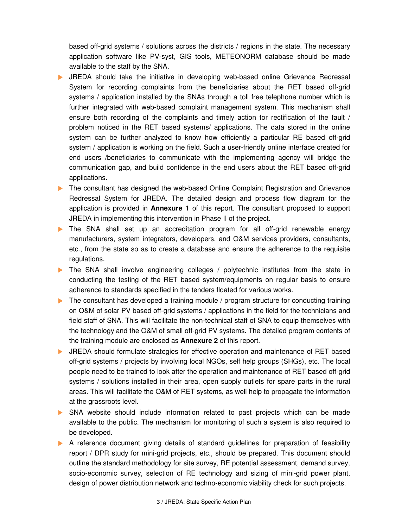based off-grid systems / solutions across the districts / regions in the state. The necessary application software like PV-syst, GIS tools, METEONORM database should be made available to the staff by the SNA.

- JREDA should take the initiative in developing web-based online Grievance Redressal System for recording complaints from the beneficiaries about the RET based off-grid systems / application installed by the SNAs through a toll free telephone number which is further integrated with web-based complaint management system. This mechanism shall ensure both recording of the complaints and timely action for rectification of the fault / problem noticed in the RET based systems/ applications. The data stored in the online system can be further analyzed to know how efficiently a particular RE based off-grid system / application is working on the field. Such a user-friendly online interface created for end users /beneficiaries to communicate with the implementing agency will bridge the communication gap, and build confidence in the end users about the RET based off-grid applications.
- **The consultant has designed the web-based Online Complaint Registration and Grievance** Redressal System for JREDA. The detailed design and process flow diagram for the application is provided in **Annexure 1** of this report. The consultant proposed to support JREDA in implementing this intervention in Phase II of the project.
- The SNA shall set up an accreditation program for all off-grid renewable energy manufacturers, system integrators, developers, and O&M services providers, consultants, etc., from the state so as to create a database and ensure the adherence to the requisite regulations.
- The SNA shall involve engineering colleges / polytechnic institutes from the state in conducting the testing of the RET based system/equipments on regular basis to ensure adherence to standards specified in the tenders floated for various works.
- $\blacktriangleright$  The consultant has developed a training module / program structure for conducting training on O&M of solar PV based off-grid systems / applications in the field for the technicians and field staff of SNA. This will facilitate the non-technical staff of SNA to equip themselves with the technology and the O&M of small off-grid PV systems. The detailed program contents of the training module are enclosed as **Annexure 2** of this report.
- JREDA should formulate strategies for effective operation and maintenance of RET based off-grid systems / projects by involving local NGOs, self help groups (SHGs), etc. The local people need to be trained to look after the operation and maintenance of RET based off-grid systems / solutions installed in their area, open supply outlets for spare parts in the rural areas. This will facilitate the O&M of RET systems, as well help to propagate the information at the grassroots level.
- SNA website should include information related to past projects which can be made available to the public. The mechanism for monitoring of such a system is also required to be developed.
- A reference document giving details of standard guidelines for preparation of feasibility report / DPR study for mini-grid projects, etc., should be prepared. This document should outline the standard methodology for site survey, RE potential assessment, demand survey, socio-economic survey, selection of RE technology and sizing of mini-grid power plant, design of power distribution network and techno-economic viability check for such projects.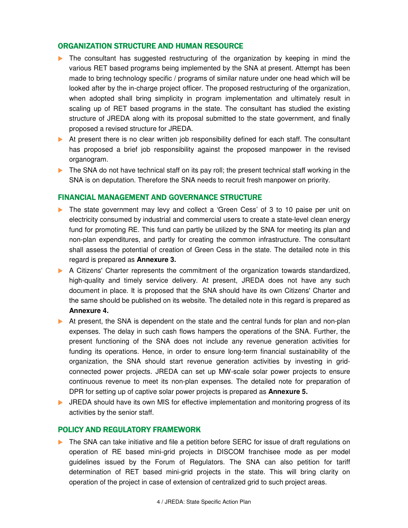## ORGANIZATION STRUCTURE AND HUMAN RESOURCE

- The consultant has suggested restructuring of the organization by keeping in mind the various RET based programs being implemented by the SNA at present. Attempt has been made to bring technology specific / programs of similar nature under one head which will be looked after by the in-charge project officer. The proposed restructuring of the organization, when adopted shall bring simplicity in program implementation and ultimately result in scaling up of RET based programs in the state. The consultant has studied the existing structure of JREDA along with its proposal submitted to the state government, and finally proposed a revised structure for JREDA.
- At present there is no clear written job responsibility defined for each staff. The consultant has proposed a brief job responsibility against the proposed manpower in the revised organogram.
- $\triangleright$  The SNA do not have technical staff on its pay roll; the present technical staff working in the SNA is on deputation. Therefore the SNA needs to recruit fresh manpower on priority.

## FINANCIAL MANAGEMENT AND GOVERNANCE STRUCTURE

- The state government may levy and collect a 'Green Cess' of 3 to 10 paise per unit on electricity consumed by industrial and commercial users to create a state-level clean energy fund for promoting RE. This fund can partly be utilized by the SNA for meeting its plan and non-plan expenditures, and partly for creating the common infrastructure. The consultant shall assess the potential of creation of Green Cess in the state. The detailed note in this regard is prepared as **Annexure 3.**
- A Citizens' Charter represents the commitment of the organization towards standardized, high-quality and timely service delivery. At present, JREDA does not have any such document in place. It is proposed that the SNA should have its own Citizens' Charter and the same should be published on its website. The detailed note in this regard is prepared as **Annexure 4.**
- At present, the SNA is dependent on the state and the central funds for plan and non-plan expenses. The delay in such cash flows hampers the operations of the SNA. Further, the present functioning of the SNA does not include any revenue generation activities for funding its operations. Hence, in order to ensure long-term financial sustainability of the organization, the SNA should start revenue generation activities by investing in gridconnected power projects. JREDA can set up MW-scale solar power projects to ensure continuous revenue to meet its non-plan expenses. The detailed note for preparation of DPR for setting up of captive solar power projects is prepared as **Annexure 5.**
- **IF JREDA** should have its own MIS for effective implementation and monitoring progress of its activities by the senior staff.

#### POLICY AND REGULATORY FRAMEWORK

The SNA can take initiative and file a petition before SERC for issue of draft regulations on operation of RE based mini-grid projects in DISCOM franchisee mode as per model guidelines issued by the Forum of Regulators. The SNA can also petition for tariff determination of RET based mini-grid projects in the state. This will bring clarity on operation of the project in case of extension of centralized grid to such project areas.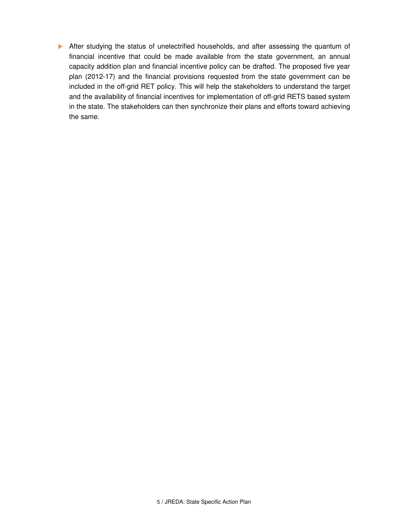After studying the status of unelectrified households, and after assessing the quantum of financial incentive that could be made available from the state government, an annual capacity addition plan and financial incentive policy can be drafted. The proposed five year plan (2012-17) and the financial provisions requested from the state government can be included in the off-grid RET policy. This will help the stakeholders to understand the target and the availability of financial incentives for implementation of off-grid RETS based system in the state. The stakeholders can then synchronize their plans and efforts toward achieving the same.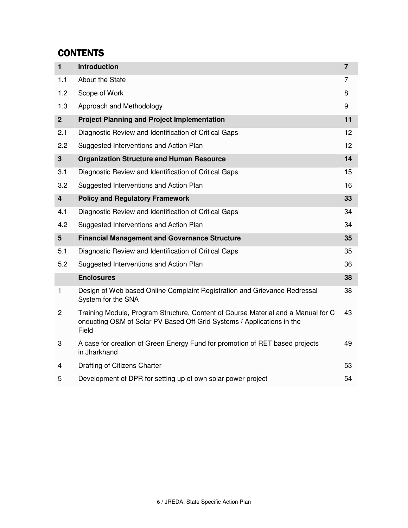## **CONTENTS**

| $\mathbf{1}$            | <b>Introduction</b>                                                                                                                                                  | $\overline{7}$  |
|-------------------------|----------------------------------------------------------------------------------------------------------------------------------------------------------------------|-----------------|
| 1.1                     | About the State                                                                                                                                                      | $\overline{7}$  |
| 1.2                     | Scope of Work                                                                                                                                                        | 8               |
| 1.3                     | Approach and Methodology                                                                                                                                             | 9               |
| 2 <sup>1</sup>          | <b>Project Planning and Project Implementation</b>                                                                                                                   | 11              |
| 2.1                     | Diagnostic Review and Identification of Critical Gaps                                                                                                                | 12              |
| 2.2                     | Suggested Interventions and Action Plan                                                                                                                              | 12 <sup>2</sup> |
| 3                       | <b>Organization Structure and Human Resource</b>                                                                                                                     | 14              |
| 3.1                     | Diagnostic Review and Identification of Critical Gaps                                                                                                                | 15              |
| 3.2                     | Suggested Interventions and Action Plan                                                                                                                              | 16              |
| $\overline{\mathbf{4}}$ | <b>Policy and Regulatory Framework</b>                                                                                                                               | 33              |
| 4.1                     | Diagnostic Review and Identification of Critical Gaps                                                                                                                | 34              |
| 4.2                     | Suggested Interventions and Action Plan                                                                                                                              | 34              |
| 5                       | <b>Financial Management and Governance Structure</b>                                                                                                                 | 35              |
| 5.1                     | Diagnostic Review and Identification of Critical Gaps                                                                                                                | 35              |
| 5.2                     | Suggested Interventions and Action Plan                                                                                                                              | 36              |
|                         | <b>Enclosures</b>                                                                                                                                                    | 38              |
| 1                       | Design of Web based Online Complaint Registration and Grievance Redressal<br>System for the SNA                                                                      | 38              |
| $\overline{2}$          | Training Module, Program Structure, Content of Course Material and a Manual for C<br>onducting O&M of Solar PV Based Off-Grid Systems / Applications in the<br>Field | 43              |
| 3                       | A case for creation of Green Energy Fund for promotion of RET based projects<br>in Jharkhand                                                                         | 49              |
| 4                       | Drafting of Citizens Charter                                                                                                                                         | 53              |
| 5                       | Development of DPR for setting up of own solar power project                                                                                                         | 54              |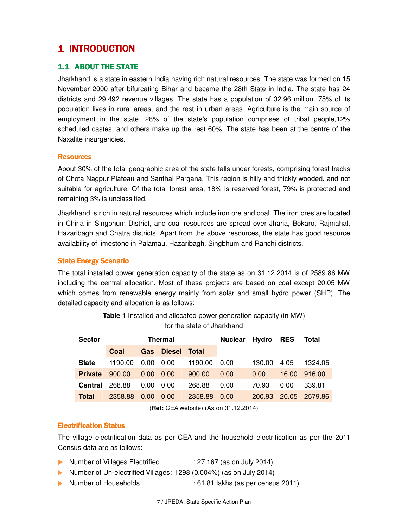## 1 INTRODUCTION

## 1.1 ABOUT THE STATE

Jharkhand is a state in eastern India having rich natural resources. The state was formed on 15 November 2000 after bifurcating Bihar and became the 28th State in India. The state has 24 districts and 29,492 revenue villages. The state has a population of 32.96 million. 75% of its population lives in rural areas, and the rest in urban areas. Agriculture is the main source of employment in the state. 28% of the state's population comprises of tribal people,12% scheduled castes, and others make up the rest 60%. The state has been at the centre of the Naxalite insurgencies.

#### **Resources**

About 30% of the total geographic area of the state falls under forests, comprising forest tracks of Chota Nagpur Plateau and Santhal Pargana. This region is hilly and thickly wooded, and not suitable for agriculture. Of the total forest area, 18% is reserved forest, 79% is protected and remaining 3% is unclassified.

Jharkhand is rich in natural resources which include iron ore and coal. The iron ores are located in Chiria in Singbhum District, and coal resources are spread over Jharia, Bokaro, Rajmahal, Hazaribagh and Chatra districts. Apart from the above resources, the state has good resource availability of limestone in Palamau, Hazaribagh, Singbhum and Ranchi districts.

#### **State Energy Scenario**

The total installed power generation capacity of the state as on 31.12.2014 is of 2589.86 MW including the central allocation. Most of these projects are based on coal except 20.05 MW which comes from renewable energy mainly from solar and small hydro power (SHP). The detailed capacity and allocation is as follows:

| <b>Sector</b>  | <b>Thermal</b> |      |               | <b>Nuclear</b> | Hydro | <b>RES</b> | Total |         |
|----------------|----------------|------|---------------|----------------|-------|------------|-------|---------|
|                | Coal           | Gas  | <b>Diesel</b> | Total          |       |            |       |         |
| <b>State</b>   | 1190.00        | 0.00 | 0.00          | 1190.00        | 0.00  | 130.00     | 4.05  | 1324.05 |
| <b>Private</b> | 900.00         | 0.00 | 0.00          | 900.00         | 0.00  | 0.00       | 16.00 | 916.00  |
| Central        | 268.88         | 0.00 | 0.00          | 268.88         | 0.00  | 70.93      | 0.00  | 339.81  |
| <b>Total</b>   | 2358.88        | 0.00 | 0.00          | 2358.88        | 0.00  | 200.93     | 20.05 | 2579.86 |

**Table 1** Installed and allocated power generation capacity (in MW) for the state of Jharkhand

(**Ref:** CEA website) (As on 31.12.2014)

#### **Electrification Status**

The village electrification data as per CEA and the household electrification as per the 2011 Census data are as follows:

- ▶ Number of Villages Electrified : 27,167 (as on July 2014)
- Number of Un-electrified Villages: 1298 (0.004%) (as on July 2014)
- 
- ▶ Number of Households : 61.81 lakhs (as per census 2011)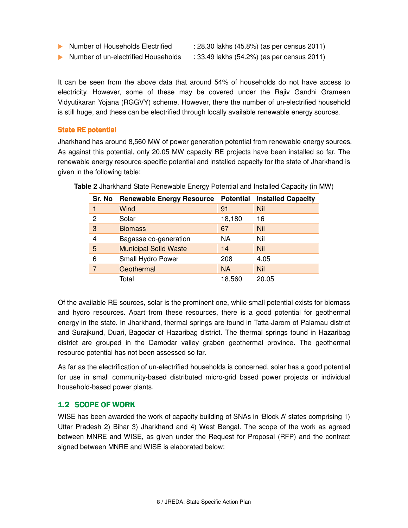- ▶ Number of Households Electrified : 28.30 lakhs (45.8%) (as per census 2011)
- ▶ Number of un-electrified Households : 33.49 lakhs (54.2%) (as per census 2011)

It can be seen from the above data that around 54% of households do not have access to electricity. However, some of these may be covered under the Rajiv Gandhi Grameen Vidyutikaran Yojana (RGGVY) scheme. However, there the number of un-electrified household is still huge, and these can be electrified through locally available renewable energy sources.

#### **State RE potential**

Jharkhand has around 8,560 MW of power generation potential from renewable energy sources. As against this potential, only 20.05 MW capacity RE projects have been installed so far. The renewable energy resource-specific potential and installed capacity for the state of Jharkhand is given in the following table:

| Sr. No | <b>Renewable Energy Resource</b> | <b>Potential</b> | <b>Installed Capacity</b> |
|--------|----------------------------------|------------------|---------------------------|
|        | Wind                             | 91               | Nil                       |
| 2      | Solar                            | 18,180           | 16                        |
| 3      | <b>Biomass</b>                   | 67               | <b>Nil</b>                |
| 4      | Bagasse co-generation            | NА               | Nil                       |
| 5      | <b>Municipal Solid Waste</b>     | 14               | Nil                       |
| 6      | Small Hydro Power                | 208              | 4.05                      |
|        | Geothermal                       | <b>NA</b>        | <b>Nil</b>                |
|        | Total                            | 18,560           | 20.05                     |

**Table 2** Jharkhand State Renewable Energy Potential and Installed Capacity (in MW)

Of the available RE sources, solar is the prominent one, while small potential exists for biomass and hydro resources. Apart from these resources, there is a good potential for geothermal energy in the state. In Jharkhand, thermal springs are found in Tatta-Jarom of Palamau district and Surajkund, Duari, Bagodar of Hazaribag district. The thermal springs found in Hazaribag district are grouped in the Damodar valley graben geothermal province. The geothermal resource potential has not been assessed so far.

As far as the electrification of un-electrified households is concerned, solar has a good potential for use in small community-based distributed micro-grid based power projects or individual household-based power plants.

## 1.2 SCOPE OF WORK

WISE has been awarded the work of capacity building of SNAs in 'Block A' states comprising 1) Uttar Pradesh 2) Bihar 3) Jharkhand and 4) West Bengal. The scope of the work as agreed between MNRE and WISE, as given under the Request for Proposal (RFP) and the contract signed between MNRE and WISE is elaborated below: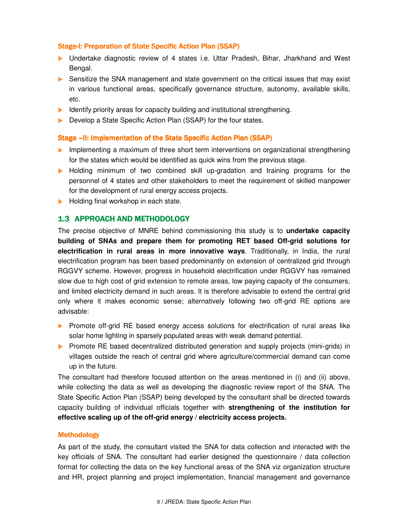#### Stage-I: Preparation of State Specific Action Plan (SSAP)

- Undertake diagnostic review of 4 states i.e. Uttar Pradesh, Bihar, Jharkhand and West Bengal.
- Sensitize the SNA management and state government on the critical issues that may exist in various functional areas, specifically governance structure, autonomy, available skills, etc.
- Identify priority areas for capacity building and institutional strengthening.
- Develop a State Specific Action Plan (SSAP) for the four states.

#### Stage – II: Implementation of the State Specific Action Plan (SSAP)

- **Implementing a maximum of three short term interventions on organizational strengthening** for the states which would be identified as quick wins from the previous stage.
- Holding minimum of two combined skill up-gradation and training programs for the personnel of 4 states and other stakeholders to meet the requirement of skilled manpower for the development of rural energy access projects.
- Holding final workshop in each state.

#### 1.3 APPROACH AND METHODOLOGY

The precise objective of MNRE behind commissioning this study is to **undertake capacity building of SNAs and prepare them for promoting RET based Off-grid solutions for electrification in rural areas in more innovative ways**. Traditionally, in India, the rural electrification program has been based predominantly on extension of centralized grid through RGGVY scheme. However, progress in household electrification under RGGVY has remained slow due to high cost of grid extension to remote areas, low paying capacity of the consumers, and limited electricity demand in such areas. It is therefore advisable to extend the central grid only where it makes economic sense; alternatively following two off-grid RE options are advisable:

- **Promote off-grid RE based energy access solutions for electrification of rural areas like** solar home lighting in sparsely populated areas with weak demand potential.
- **Promote RE based decentralized distributed generation and supply projects (mini-grids) in** villages outside the reach of central grid where agriculture/commercial demand can come up in the future.

The consultant had therefore focused attention on the areas mentioned in (i) and (ii) above, while collecting the data as well as developing the diagnostic review report of the SNA. The State Specific Action Plan (SSAP) being developed by the consultant shall be directed towards capacity building of individual officials together with **strengthening of the institution for effective scaling up of the off-grid energy / electricity access projects.**

#### Methodology

As part of the study, the consultant visited the SNA for data collection and interacted with the key officials of SNA. The consultant had earlier designed the questionnaire / data collection format for collecting the data on the key functional areas of the SNA viz organization structure and HR, project planning and project implementation, financial management and governance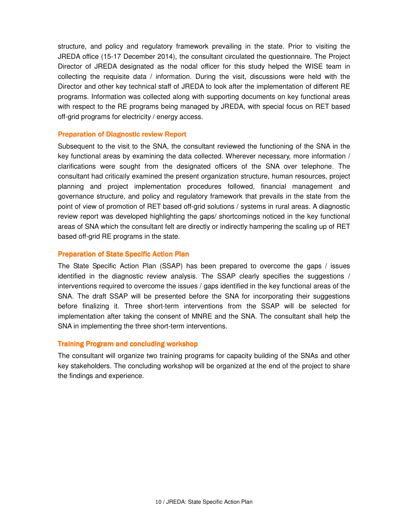structure, and policy and regulatory framework prevailing in the state. Prior to visiting the JREDA office (15-17 December 2014), the consultant circulated the questionnaire. The Project Director of JREDA designated as the nodal officer for this study helped the WISE team in collecting the requisite data / information. During the visit, discussions were held with the Director and other key technical staff of JREDA to look after the implementation of different RE programs. Information was collected along with supporting documents on key functional areas with respect to the RE programs being managed by JREDA, with special focus on RET based off-grid programs for electricity / energy access.

#### Preparation of Diagnostic review Report

Subsequent to the visit to the SNA, the consultant reviewed the functioning of the SNA in the key functional areas by examining the data collected. Wherever necessary, more information / clarifications were sought from the designated officers of the SNA over telephone. The consultant had critically examined the present organization structure, human resources, project planning and project implementation procedures followed, financial management and governance structure, and policy and regulatory framework that prevails in the state from the point of view of promotion of RET based off-grid solutions / systems in rural areas. A diagnostic review report was developed highlighting the gaps/ shortcomings noticed in the key functional areas of SNA which the consultant felt are directly or indirectly hampering the scaling up of RET based off-grid RE programs in the state.

#### **Preparation of State Specific Action Plan**

The State Specific Action Plan (SSAP) has been prepared to overcome the gaps / issues identified in the diagnostic review analysis. The SSAP clearly specifies the suggestions / interventions required to overcome the issues / gaps identified in the key functional areas of the SNA. The draft SSAP will be presented before the SNA for incorporating their suggestions before finalizing it. Three short-term interventions from the SSAP will be selected for implementation after taking the consent of MNRE and the SNA. The consultant shall help the SNA in implementing the three short-term interventions.

#### **Training Program and concluding workshop**

The consultant will organize two training programs for capacity building of the SNAs and other key stakeholders. The concluding workshop will be organized at the end of the project to share the findings and experience.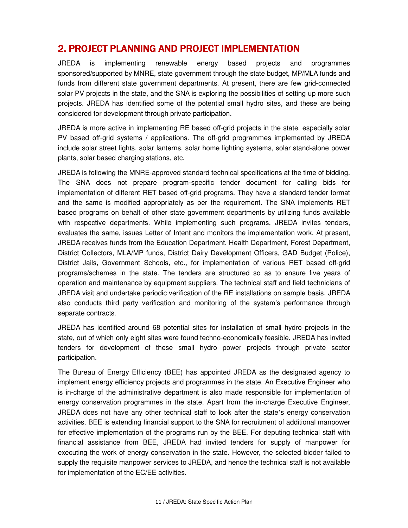## 2. PROJECT PLANNING AND PROJECT IMPLEMENTATION

JREDA is implementing renewable energy based projects and programmes sponsored/supported by MNRE, state government through the state budget, MP/MLA funds and funds from different state government departments. At present, there are few grid-connected solar PV projects in the state, and the SNA is exploring the possibilities of setting up more such projects. JREDA has identified some of the potential small hydro sites, and these are being considered for development through private participation.

JREDA is more active in implementing RE based off-grid projects in the state, especially solar PV based off-grid systems / applications. The off-grid programmes implemented by JREDA include solar street lights, solar lanterns, solar home lighting systems, solar stand-alone power plants, solar based charging stations, etc.

JREDA is following the MNRE-approved standard technical specifications at the time of bidding. The SNA does not prepare program-specific tender document for calling bids for implementation of different RET based off-grid programs. They have a standard tender format and the same is modified appropriately as per the requirement. The SNA implements RET based programs on behalf of other state government departments by utilizing funds available with respective departments. While implementing such programs, JREDA invites tenders, evaluates the same, issues Letter of Intent and monitors the implementation work. At present, JREDA receives funds from the Education Department, Health Department, Forest Department, District Collectors, MLA/MP funds, District Dairy Development Officers, GAD Budget (Police), District Jails, Government Schools, etc., for implementation of various RET based off-grid programs/schemes in the state. The tenders are structured so as to ensure five years of operation and maintenance by equipment suppliers. The technical staff and field technicians of JREDA visit and undertake periodic verification of the RE installations on sample basis. JREDA also conducts third party verification and monitoring of the system's performance through separate contracts.

JREDA has identified around 68 potential sites for installation of small hydro projects in the state, out of which only eight sites were found techno-economically feasible. JREDA has invited tenders for development of these small hydro power projects through private sector participation.

The Bureau of Energy Efficiency (BEE) has appointed JREDA as the designated agency to implement energy efficiency projects and programmes in the state. An Executive Engineer who is in-charge of the administrative department is also made responsible for implementation of energy conservation programmes in the state. Apart from the in-charge Executive Engineer, JREDA does not have any other technical staff to look after the state's energy conservation activities. BEE is extending financial support to the SNA for recruitment of additional manpower for effective implementation of the programs run by the BEE. For deputing technical staff with financial assistance from BEE, JREDA had invited tenders for supply of manpower for executing the work of energy conservation in the state. However, the selected bidder failed to supply the requisite manpower services to JREDA, and hence the technical staff is not available for implementation of the EC/EE activities.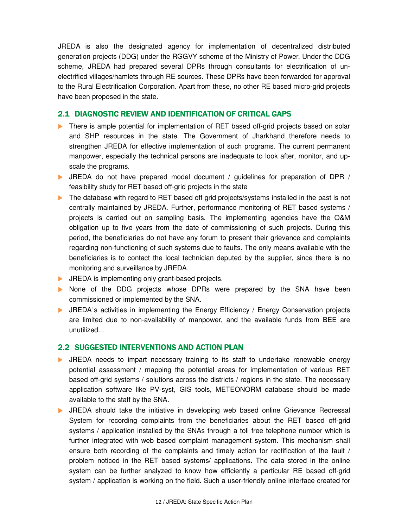JREDA is also the designated agency for implementation of decentralized distributed generation projects (DDG) under the RGGVY scheme of the Ministry of Power. Under the DDG scheme, JREDA had prepared several DPRs through consultants for electrification of unelectrified villages/hamlets through RE sources. These DPRs have been forwarded for approval to the Rural Electrification Corporation. Apart from these, no other RE based micro-grid projects have been proposed in the state.

## 2.1 DIAGNOSTIC REVIEW AND IDENTIFICATION OF CRITICAL GAPS

- There is ample potential for implementation of RET based off-grid projects based on solar and SHP resources in the state. The Government of Jharkhand therefore needs to strengthen JREDA for effective implementation of such programs. The current permanent manpower, especially the technical persons are inadequate to look after, monitor, and upscale the programs.
- JREDA do not have prepared model document / guidelines for preparation of DPR / feasibility study for RET based off-grid projects in the state
- The database with regard to RET based off grid projects/systems installed in the past is not centrally maintained by JREDA. Further, performance monitoring of RET based systems / projects is carried out on sampling basis. The implementing agencies have the O&M obligation up to five years from the date of commissioning of such projects. During this period, the beneficiaries do not have any forum to present their grievance and complaints regarding non-functioning of such systems due to faults. The only means available with the beneficiaries is to contact the local technician deputed by the supplier, since there is no monitoring and surveillance by JREDA.
- **IF JREDA** is implementing only grant-based projects.
- None of the DDG projects whose DPRs were prepared by the SNA have been commissioned or implemented by the SNA.
- **IFMEDA's activities in implementing the Energy Efficiency / Energy Conservation projects** are limited due to non-availability of manpower, and the available funds from BEE are unutilized. .

## 2.2 SUGGESTED INTERVENTIONS AND ACTION PLAN

- **IREDA** needs to impart necessary training to its staff to undertake renewable energy potential assessment / mapping the potential areas for implementation of various RET based off-grid systems / solutions across the districts / regions in the state. The necessary application software like PV-syst, GIS tools, METEONORM database should be made available to the staff by the SNA.
- **IFEDA** should take the initiative in developing web based online Grievance Redressal System for recording complaints from the beneficiaries about the RET based off-grid systems / application installed by the SNAs through a toll free telephone number which is further integrated with web based complaint management system. This mechanism shall ensure both recording of the complaints and timely action for rectification of the fault / problem noticed in the RET based systems/ applications. The data stored in the online system can be further analyzed to know how efficiently a particular RE based off-grid system / application is working on the field. Such a user-friendly online interface created for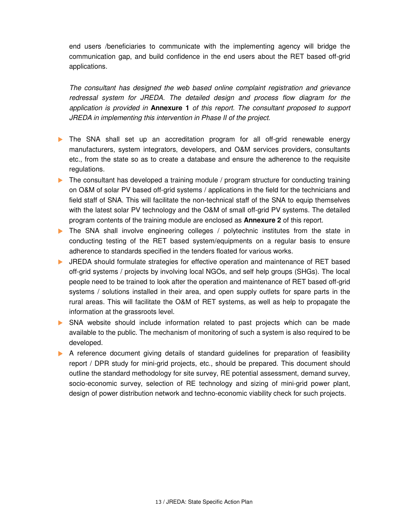end users /beneficiaries to communicate with the implementing agency will bridge the communication gap, and build confidence in the end users about the RET based off-grid applications.

The consultant has designed the web based online complaint registration and grievance redressal system for JREDA. The detailed design and process flow diagram for the application is provided in **Annexure 1** of this report. The consultant proposed to support JREDA in implementing this intervention in Phase II of the project.

- The SNA shall set up an accreditation program for all off-grid renewable energy manufacturers, system integrators, developers, and O&M services providers, consultants etc., from the state so as to create a database and ensure the adherence to the requisite regulations.
- $\triangleright$  The consultant has developed a training module / program structure for conducting training on O&M of solar PV based off-grid systems / applications in the field for the technicians and field staff of SNA. This will facilitate the non-technical staff of the SNA to equip themselves with the latest solar PV technology and the O&M of small off-grid PV systems. The detailed program contents of the training module are enclosed as **Annexure 2** of this report.
- **The SNA shall involve engineering colleges / polytechnic institutes from the state in** conducting testing of the RET based system/equipments on a regular basis to ensure adherence to standards specified in the tenders floated for various works.
- JREDA should formulate strategies for effective operation and maintenance of RET based off-grid systems / projects by involving local NGOs, and self help groups (SHGs). The local people need to be trained to look after the operation and maintenance of RET based off-grid systems / solutions installed in their area, and open supply outlets for spare parts in the rural areas. This will facilitate the O&M of RET systems, as well as help to propagate the information at the grassroots level.
- SNA website should include information related to past projects which can be made available to the public. The mechanism of monitoring of such a system is also required to be developed.
- A reference document giving details of standard guidelines for preparation of feasibility report / DPR study for mini-grid projects, etc., should be prepared. This document should outline the standard methodology for site survey, RE potential assessment, demand survey, socio-economic survey, selection of RE technology and sizing of mini-grid power plant, design of power distribution network and techno-economic viability check for such projects.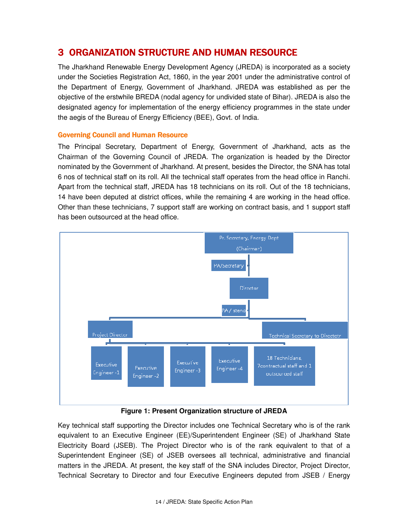## 3 ORGANIZATION STRUCTURE AND HUMAN RESOURCE

The Jharkhand Renewable Energy Development Agency (JREDA) is incorporated as a society under the Societies Registration Act, 1860, in the year 2001 under the administrative control of the Department of Energy, Government of Jharkhand. JREDA was established as per the objective of the erstwhile BREDA (nodal agency for undivided state of Bihar). JREDA is also the designated agency for implementation of the energy efficiency programmes in the state under the aegis of the Bureau of Energy Efficiency (BEE), Govt. of India.

#### Governing Council and Human Resource

The Principal Secretary, Department of Energy, Government of Jharkhand, acts as the Chairman of the Governing Council of JREDA. The organization is headed by the Director nominated by the Government of Jharkhand. At present, besides the Director, the SNA has total 6 nos of technical staff on its roll. All the technical staff operates from the head office in Ranchi. Apart from the technical staff, JREDA has 18 technicians on its roll. Out of the 18 technicians, 14 have been deputed at district offices, while the remaining 4 are working in the head office. Other than these technicians, 7 support staff are working on contract basis, and 1 support staff has been outsourced at the head office.



## **Figure 1: Present Organization structure of JREDA**

Key technical staff supporting the Director includes one Technical Secretary who is of the rank equivalent to an Executive Engineer (EE)/Superintendent Engineer (SE) of Jharkhand State Electricity Board (JSEB). The Project Director who is of the rank equivalent to that of a Superintendent Engineer (SE) of JSEB oversees all technical, administrative and financial matters in the JREDA. At present, the key staff of the SNA includes Director, Project Director, Technical Secretary to Director and four Executive Engineers deputed from JSEB / Energy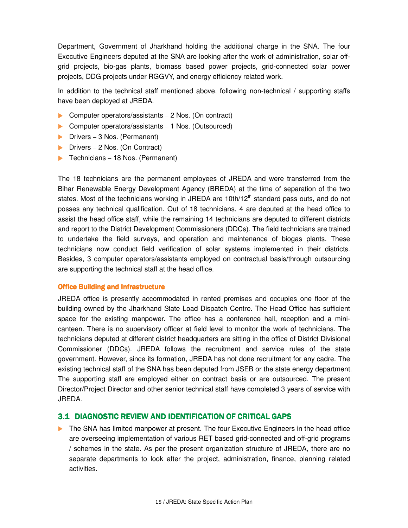Department, Government of Jharkhand holding the additional charge in the SNA. The four Executive Engineers deputed at the SNA are looking after the work of administration, solar offgrid projects, bio-gas plants, biomass based power projects, grid-connected solar power projects, DDG projects under RGGVY, and energy efficiency related work.

In addition to the technical staff mentioned above, following non-technical / supporting staffs have been deployed at JREDA.

- ▶ Computer operators/assistants 2 Nos. (On contract)
- ▶ Computer operators/assistants 1 Nos. (Outsourced)
- $\blacktriangleright$  Drivers 3 Nos. (Permanent)
- ▶ Drivers 2 Nos. (On Contract)
- $\blacktriangleright$  Technicians 18 Nos. (Permanent)

The 18 technicians are the permanent employees of JREDA and were transferred from the Bihar Renewable Energy Development Agency (BREDA) at the time of separation of the two states. Most of the technicians working in JREDA are 10th/12<sup>th</sup> standard pass outs, and do not posses any technical qualification. Out of 18 technicians, 4 are deputed at the head office to assist the head office staff, while the remaining 14 technicians are deputed to different districts and report to the District Development Commissioners (DDCs). The field technicians are trained to undertake the field surveys, and operation and maintenance of biogas plants. These technicians now conduct field verification of solar systems implemented in their districts. Besides, 3 computer operators/assistants employed on contractual basis/through outsourcing are supporting the technical staff at the head office.

#### **Office Building and Infrastructure**

JREDA office is presently accommodated in rented premises and occupies one floor of the building owned by the Jharkhand State Load Dispatch Centre. The Head Office has sufficient space for the existing manpower. The office has a conference hall, reception and a minicanteen. There is no supervisory officer at field level to monitor the work of technicians. The technicians deputed at different district headquarters are sitting in the office of District Divisional Commissioner (DDCs). JREDA follows the recruitment and service rules of the state government. However, since its formation, JREDA has not done recruitment for any cadre. The existing technical staff of the SNA has been deputed from JSEB or the state energy department. The supporting staff are employed either on contract basis or are outsourced. The present Director/Project Director and other senior technical staff have completed 3 years of service with JREDA.

## 3.1 DIAGNOSTIC REVIEW AND IDENTIFICATION OF CRITICAL GAPS

The SNA has limited manpower at present. The four Executive Engineers in the head office are overseeing implementation of various RET based grid-connected and off-grid programs / schemes in the state. As per the present organization structure of JREDA, there are no separate departments to look after the project, administration, finance, planning related activities.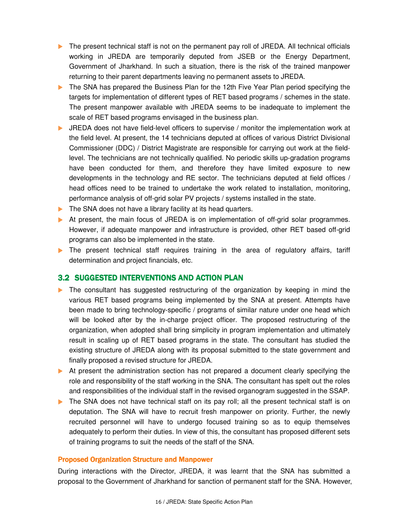- The present technical staff is not on the permanent pay roll of JREDA. All technical officials working in JREDA are temporarily deputed from JSEB or the Energy Department, Government of Jharkhand. In such a situation, there is the risk of the trained manpower returning to their parent departments leaving no permanent assets to JREDA.
- The SNA has prepared the Business Plan for the 12th Five Year Plan period specifying the targets for implementation of different types of RET based programs / schemes in the state. The present manpower available with JREDA seems to be inadequate to implement the scale of RET based programs envisaged in the business plan.
- JREDA does not have field-level officers to supervise / monitor the implementation work at the field level. At present, the 14 technicians deputed at offices of various District Divisional Commissioner (DDC) / District Magistrate are responsible for carrying out work at the fieldlevel. The technicians are not technically qualified. No periodic skills up-gradation programs have been conducted for them, and therefore they have limited exposure to new developments in the technology and RE sector. The technicians deputed at field offices / head offices need to be trained to undertake the work related to installation, monitoring, performance analysis of off-grid solar PV projects / systems installed in the state.
- The SNA does not have a library facility at its head quarters.
- At present, the main focus of JREDA is on implementation of off-grid solar programmes. However, if adequate manpower and infrastructure is provided, other RET based off-grid programs can also be implemented in the state.
- The present technical staff requires training in the area of requiatory affairs, tariff determination and project financials, etc.

## 3.2 SUGGESTED INTERVENTIONS AND ACTION PLAN

- The consultant has suggested restructuring of the organization by keeping in mind the various RET based programs being implemented by the SNA at present. Attempts have been made to bring technology-specific / programs of similar nature under one head which will be looked after by the in-charge project officer. The proposed restructuring of the organization, when adopted shall bring simplicity in program implementation and ultimately result in scaling up of RET based programs in the state. The consultant has studied the existing structure of JREDA along with its proposal submitted to the state government and finally proposed a revised structure for JREDA.
- At present the administration section has not prepared a document clearly specifying the role and responsibility of the staff working in the SNA. The consultant has spelt out the roles and responsibilities of the individual staff in the revised organogram suggested in the SSAP.
- The SNA does not have technical staff on its pay roll; all the present technical staff is on deputation. The SNA will have to recruit fresh manpower on priority. Further, the newly recruited personnel will have to undergo focused training so as to equip themselves adequately to perform their duties. In view of this, the consultant has proposed different sets of training programs to suit the needs of the staff of the SNA.

#### Proposed Organization Structure and Manpower

During interactions with the Director, JREDA, it was learnt that the SNA has submitted a proposal to the Government of Jharkhand for sanction of permanent staff for the SNA. However,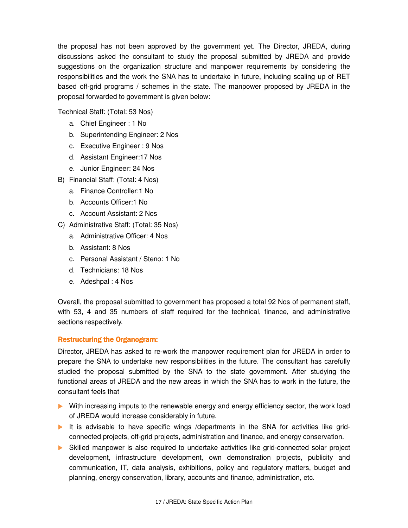the proposal has not been approved by the government yet. The Director, JREDA, during discussions asked the consultant to study the proposal submitted by JREDA and provide suggestions on the organization structure and manpower requirements by considering the responsibilities and the work the SNA has to undertake in future, including scaling up of RET based off-grid programs / schemes in the state. The manpower proposed by JREDA in the proposal forwarded to government is given below:

Technical Staff: (Total: 53 Nos)

- a. Chief Engineer : 1 No
- b. Superintending Engineer: 2 Nos
- c. Executive Engineer : 9 Nos
- d. Assistant Engineer:17 Nos
- e. Junior Engineer: 24 Nos
- B) Financial Staff: (Total: 4 Nos)
	- a. Finance Controller:1 No
	- b. Accounts Officer:1 No
	- c. Account Assistant: 2 Nos
- C) Administrative Staff: (Total: 35 Nos)
	- a. Administrative Officer: 4 Nos
	- b. Assistant: 8 Nos
	- c. Personal Assistant / Steno: 1 No
	- d. Technicians: 18 Nos
	- e. Adeshpal : 4 Nos

Overall, the proposal submitted to government has proposed a total 92 Nos of permanent staff, with 53, 4 and 35 numbers of staff required for the technical, finance, and administrative sections respectively.

#### Restructuring the Organogram:

Director, JREDA has asked to re-work the manpower requirement plan for JREDA in order to prepare the SNA to undertake new responsibilities in the future. The consultant has carefully studied the proposal submitted by the SNA to the state government. After studying the functional areas of JREDA and the new areas in which the SNA has to work in the future, the consultant feels that

- **Mith increasing imputs to the renewable energy and energy efficiency sector, the work load** of JREDA would increase considerably in future.
- It is advisable to have specific wings /departments in the SNA for activities like gridconnected projects, off-grid projects, administration and finance, and energy conservation.
- Skilled manpower is also required to undertake activities like grid-connected solar project development, infrastructure development, own demonstration projects, publicity and communication, IT, data analysis, exhibitions, policy and regulatory matters, budget and planning, energy conservation, library, accounts and finance, administration, etc.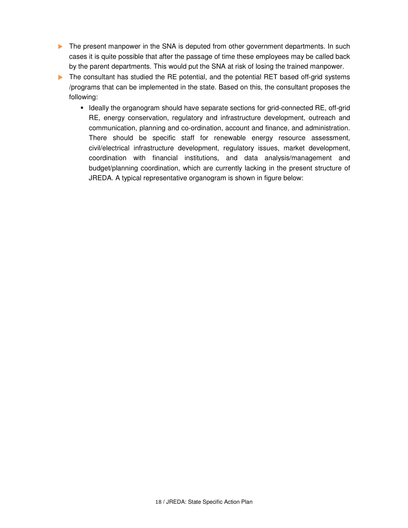- The present manpower in the SNA is deputed from other government departments. In such cases it is quite possible that after the passage of time these employees may be called back by the parent departments. This would put the SNA at risk of losing the trained manpower.
- The consultant has studied the RE potential, and the potential RET based off-grid systems /programs that can be implemented in the state. Based on this, the consultant proposes the following:
	- Ideally the organogram should have separate sections for grid-connected RE, off-grid RE, energy conservation, regulatory and infrastructure development, outreach and communication, planning and co-ordination, account and finance, and administration. There should be specific staff for renewable energy resource assessment, civil/electrical infrastructure development, regulatory issues, market development, coordination with financial institutions, and data analysis/management and budget/planning coordination, which are currently lacking in the present structure of JREDA. A typical representative organogram is shown in figure below: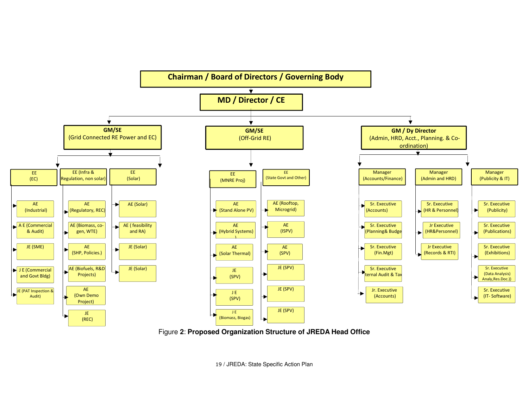

Figure **2**: **Proposed Organization Structure of JREDA Head Office** 

19 / JREDA: State Specific Action Plan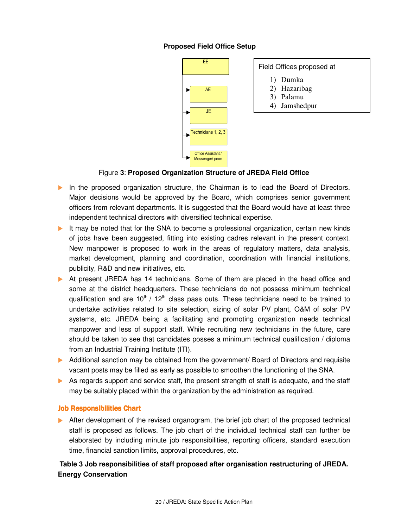## **Proposed Field Office Setup**

| EΕ                                           |  |  |  |  |  |
|----------------------------------------------|--|--|--|--|--|
|                                              |  |  |  |  |  |
| <b>AE</b>                                    |  |  |  |  |  |
| JE                                           |  |  |  |  |  |
| Technicians 1, 2, 3                          |  |  |  |  |  |
| <b>Office Assistant /</b><br>Messenger/ peon |  |  |  |  |  |

#### Field Offices proposed at

- 1) Dumka
- 2) Hazaribag
- 3) Palamu
- 4) Jamshedpur

#### Figure **3**: **Proposed Organization Structure of JREDA Field Office**

- In the proposed organization structure, the Chairman is to lead the Board of Directors. Major decisions would be approved by the Board, which comprises senior government officers from relevant departments. It is suggested that the Board would have at least three independent technical directors with diversified technical expertise.
- It may be noted that for the SNA to become a professional organization, certain new kinds of jobs have been suggested, fitting into existing cadres relevant in the present context. New manpower is proposed to work in the areas of regulatory matters, data analysis, market development, planning and coordination, coordination with financial institutions, publicity, R&D and new initiatives, etc.
- At present JREDA has 14 technicians. Some of them are placed in the head office and some at the district headquarters. These technicians do not possess minimum technical qualification and are  $10^{th}$  /  $12^{th}$  class pass outs. These technicians need to be trained to undertake activities related to site selection, sizing of solar PV plant, O&M of solar PV systems, etc. JREDA being a facilitating and promoting organization needs technical manpower and less of support staff. While recruiting new technicians in the future, care should be taken to see that candidates posses a minimum technical qualification / diploma from an Industrial Training Institute (ITI).
- Additional sanction may be obtained from the government/ Board of Directors and requisite vacant posts may be filled as early as possible to smoothen the functioning of the SNA.
- As regards support and service staff, the present strength of staff is adequate, and the staff may be suitably placed within the organization by the administration as required.

#### **Job Responsibilities Chart**

 After development of the revised organogram, the brief job chart of the proposed technical staff is proposed as follows. The job chart of the individual technical staff can further be elaborated by including minute job responsibilities, reporting officers, standard execution time, financial sanction limits, approval procedures, etc.

## **Table 3 Job responsibilities of staff proposed after organisation restructuring of JREDA. Energy Conservation**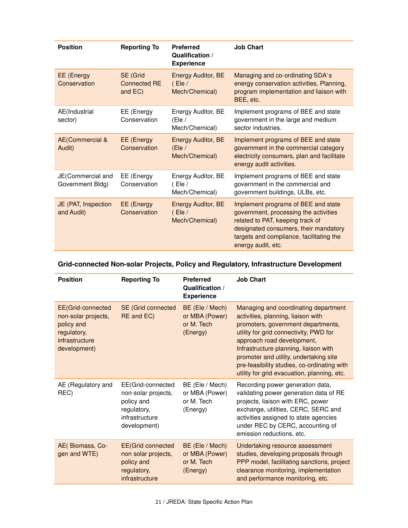| <b>Position</b>                       | <b>Reporting To</b>                        | <b>Preferred</b><br>Qualification /<br><b>Experience</b> | <b>Job Chart</b>                                                                                                                                                                                                            |
|---------------------------------------|--------------------------------------------|----------------------------------------------------------|-----------------------------------------------------------------------------------------------------------------------------------------------------------------------------------------------------------------------------|
| EE (Energy<br>Conservation            | SE (Grid<br><b>Connected RE</b><br>and EC) | <b>Energy Auditor, BE</b><br>( Ele / )<br>Mech/Chemical) | Managing and co-ordinating SDA's<br>energy conservation activities, Planning,<br>program implementation and liaison with<br>BEE, etc.                                                                                       |
| AE(Industrial<br>sector)              | EE (Energy<br>Conservation                 | Energy Auditor, BE<br>(Ele /<br>Mech/Chemical)           | Implement programs of BEE and state<br>government in the large and medium<br>sector industries.                                                                                                                             |
| <b>AE(Commercial &amp;</b><br>Audit)  | <b>EE</b> (Energy<br>Conservation          | <b>Energy Auditor, BE</b><br>(Ele/<br>Mech/Chemical)     | Implement programs of BEE and state<br>government in the commercial category<br>electricity consumers, plan and facilitate<br>energy audit activities.                                                                      |
| JE(Commercial and<br>Government Bldg) | EE (Energy<br>Conservation                 | Energy Auditor, BE<br>( Ele /<br>Mech/Chemical)          | Implement programs of BEE and state<br>government in the commercial and<br>government buildings, ULBs, etc.                                                                                                                 |
| JE (PAT, Inspection<br>and Audit)     | EE (Energy<br>Conservation                 | <b>Energy Auditor, BE</b><br>( Ele<br>Mech/Chemical)     | Implement programs of BEE and state<br>government, processing the activities<br>related to PAT, keeping track of<br>designated consumers, their mandatory<br>targets and compliance, facilitating the<br>energy audit, etc. |

## **Grid-connected Non-solar Projects, Policy and Regulatory, Infrastructure Development**

| <b>Position</b>                                                                                         | <b>Reporting To</b>                                                                                     | <b>Preferred</b><br>Qualification /<br><b>Experience</b>    | <b>Job Chart</b>                                                                                                                                                                                                                                                                                                                                                          |
|---------------------------------------------------------------------------------------------------------|---------------------------------------------------------------------------------------------------------|-------------------------------------------------------------|---------------------------------------------------------------------------------------------------------------------------------------------------------------------------------------------------------------------------------------------------------------------------------------------------------------------------------------------------------------------------|
| EE(Grid-connected<br>non-solar projects,<br>policy and<br>regulatory,<br>infrastructure<br>development) | <b>SE</b> (Grid connected<br>RE and EC)                                                                 | BE (Ele / Mech)<br>or MBA (Power)<br>or M. Tech<br>(Energy) | Managing and coordinating department<br>activities, planning, liaison with<br>promoters, government departments,<br>utility for grid connectivity, PWD for<br>approach road development,<br>Infrastructure planning, liaison with<br>promoter and utility, undertaking site<br>pre-feasibility studies, co-ordinating with<br>utility for grid evacuation, planning, etc. |
| AE (Regulatory and<br>REC)                                                                              | EE(Grid-connected<br>non-solar projects,<br>policy and<br>regulatory,<br>infrastructure<br>development) | BE (Ele / Mech)<br>or MBA (Power)<br>or M. Tech<br>(Energy) | Recording power generation data,<br>validating power generation data of RE<br>projects, liaison with ERC, power<br>exchange, utilities, CERC, SERC and<br>activities assigned to state agencies<br>under REC by CERC, accounting of<br>emission reductions, etc.                                                                                                          |
| AE(Biomass, Co-<br>gen and WTE)                                                                         | <b>EE(Grid connected</b><br>non solar projects,<br>policy and<br>regulatory,<br>infrastructure          | BE (Ele / Mech)<br>or MBA (Power)<br>or M. Tech<br>(Energy) | Undertaking resource assessment<br>studies, developing proposals through<br>PPP model, facilitating sanctions, project<br>clearance monitoring, implementation<br>and performance monitoring, etc.                                                                                                                                                                        |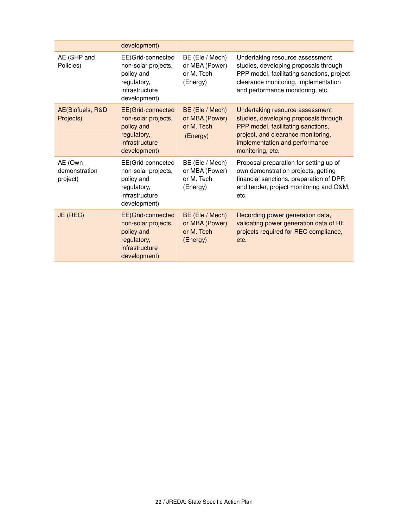|                                      | development)                                                                                                    |                                                             |                                                                                                                                                                                                            |
|--------------------------------------|-----------------------------------------------------------------------------------------------------------------|-------------------------------------------------------------|------------------------------------------------------------------------------------------------------------------------------------------------------------------------------------------------------------|
| AE (SHP and<br>Policies)             | EE(Grid-connected<br>non-solar projects,<br>policy and<br>regulatory,<br>infrastructure<br>development)         | BE (Ele / Mech)<br>or MBA (Power)<br>or M. Tech<br>(Energy) | Undertaking resource assessment<br>studies, developing proposals through<br>PPP model, facilitating sanctions, project<br>clearance monitoring, implementation<br>and performance monitoring, etc.         |
| AE(Biofuels, R&D<br>Projects)        | <b>EE</b> (Grid-connected<br>non-solar projects,<br>policy and<br>regulatory,<br>infrastructure<br>development) | BE (Ele / Mech)<br>or MBA (Power)<br>or M. Tech<br>(Energy) | Undertaking resource assessment<br>studies, developing proposals through<br>PPP model, facilitating sanctions,<br>project, and clearance monitoring,<br>implementation and performance<br>monitoring, etc. |
| AE (Own<br>demonstration<br>project) | EE(Grid-connected<br>non-solar projects,<br>policy and<br>regulatory,<br>infrastructure<br>development)         | BE (Ele / Mech)<br>or MBA (Power)<br>or M. Tech<br>(Energy) | Proposal preparation for setting up of<br>own demonstration projects, getting<br>financial sanctions, preparation of DPR<br>and tender, project monitoring and O&M,<br>etc.                                |
| JE (REC)                             | <b>EE</b> (Grid-connected<br>non-solar projects,<br>policy and<br>regulatory,<br>infrastructure<br>development) | BE (Ele / Mech)<br>or MBA (Power)<br>or M. Tech<br>(Energy) | Recording power generation data,<br>validating power generation data of RE<br>projects required for REC compliance,<br>etc.                                                                                |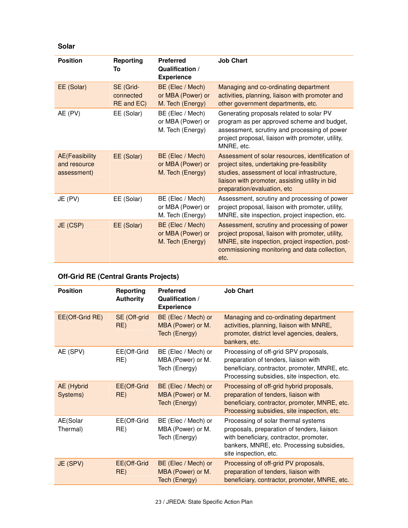**Solar**

| <b>Position</b>                                       | <b>Reporting</b><br>To               | <b>Preferred</b><br>Qualification /<br><b>Experience</b>  | <b>Job Chart</b>                                                                                                                                                                                                                 |
|-------------------------------------------------------|--------------------------------------|-----------------------------------------------------------|----------------------------------------------------------------------------------------------------------------------------------------------------------------------------------------------------------------------------------|
| EE (Solar)                                            | SE (Grid-<br>connected<br>RE and EC) | BE (Elec / Mech)<br>or MBA (Power) or<br>M. Tech (Energy) | Managing and co-ordinating department<br>activities, planning, liaison with promoter and<br>other government departments, etc.                                                                                                   |
| AE (PV)                                               | EE (Solar)                           | BE (Elec / Mech)<br>or MBA (Power) or<br>M. Tech (Energy) | Generating proposals related to solar PV<br>program as per approved scheme and budget,<br>assessment, scrutiny and processing of power<br>project proposal, liaison with promoter, utility,<br>MNRE, etc.                        |
| <b>AE</b> (Feasibility<br>and resource<br>assessment) | EE (Solar)                           | BE (Elec / Mech)<br>or MBA (Power) or<br>M. Tech (Energy) | Assessment of solar resources, identification of<br>project sites, undertaking pre-feasibility<br>studies, assessment of local infrastructure,<br>liaison with promoter, assisting utility in bid<br>preparation/evaluation, etc |
| JE (PV)                                               | EE (Solar)                           | BE (Elec / Mech)<br>or MBA (Power) or<br>M. Tech (Energy) | Assessment, scrutiny and processing of power<br>project proposal, liaison with promoter, utility,<br>MNRE, site inspection, project inspection, etc.                                                                             |
| JE (CSP)                                              | EE (Solar)                           | BE (Elec / Mech)<br>or MBA (Power) or<br>M. Tech (Energy) | Assessment, scrutiny and processing of power<br>project proposal, liaison with promoter, utility,<br>MNRE, site inspection, project inspection, post-<br>commissioning monitoring and data collection,<br>etc.                   |

## **Off-Grid RE (Central Grants Projects)**

| <b>Position</b>        | Reporting<br><b>Authority</b> | <b>Preferred</b><br>Qualification /<br><b>Experience</b>  | <b>Job Chart</b>                                                                                                                                                                                   |
|------------------------|-------------------------------|-----------------------------------------------------------|----------------------------------------------------------------------------------------------------------------------------------------------------------------------------------------------------|
| EE(Off-Grid RE)        | SE (Off-grid<br>RE)           | BE (Elec / Mech) or<br>MBA (Power) or M.<br>Tech (Energy) | Managing and co-ordinating department<br>activities, planning, liaison with MNRE,<br>promoter, district level agencies, dealers,<br>bankers, etc.                                                  |
| AE (SPV)               | EE(Off-Grid<br>RE)            | BE (Elec / Mech) or<br>MBA (Power) or M.<br>Tech (Energy) | Processing of off-grid SPV proposals,<br>preparation of tenders, liaison with<br>beneficiary, contractor, promoter, MNRE, etc.<br>Processing subsidies, site inspection, etc.                      |
| AE (Hybrid<br>Systems) | EE(Off-Grid<br>RE)            | BE (Elec / Mech) or<br>MBA (Power) or M.<br>Tech (Energy) | Processing of off-grid hybrid proposals,<br>preparation of tenders, liaison with<br>beneficiary, contractor, promoter, MNRE, etc.<br>Processing subsidies, site inspection, etc.                   |
| AE(Solar<br>Thermal)   | EE(Off-Grid<br>RE)            | BE (Elec / Mech) or<br>MBA (Power) or M.<br>Tech (Energy) | Processing of solar thermal systems<br>proposals, preparation of tenders, liaison<br>with beneficiary, contractor, promoter,<br>bankers, MNRE, etc. Processing subsidies,<br>site inspection, etc. |
| JE (SPV)               | EE(Off-Grid<br>RE)            | BE (Elec / Mech) or<br>MBA (Power) or M.<br>Tech (Energy) | Processing of off-grid PV proposals,<br>preparation of tenders, liaison with<br>beneficiary, contractor, promoter, MNRE, etc.                                                                      |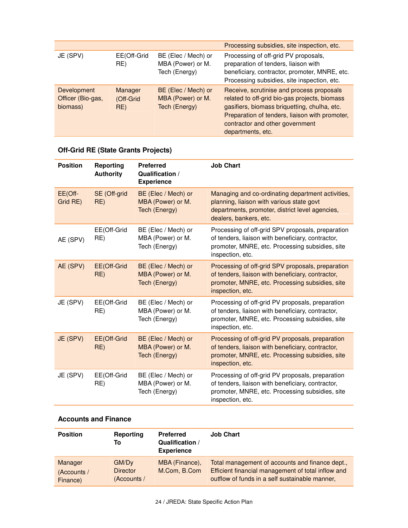|                                              |                             |                                                           | Processing subsidies, site inspection, etc.                                                                                                                                                                                                          |
|----------------------------------------------|-----------------------------|-----------------------------------------------------------|------------------------------------------------------------------------------------------------------------------------------------------------------------------------------------------------------------------------------------------------------|
| JE (SPV)                                     | EE(Off-Grid<br>RE)          | BE (Elec / Mech) or<br>MBA (Power) or M.<br>Tech (Energy) | Processing of off-grid PV proposals,<br>preparation of tenders, liaison with<br>beneficiary, contractor, promoter, MNRE, etc.<br>Processing subsidies, site inspection, etc.                                                                         |
| Development<br>Officer (Bio-gas,<br>biomass) | Manager<br>(Off-Grid<br>RE) | BE (Elec / Mech) or<br>MBA (Power) or M.<br>Tech (Energy) | Receive, scrutinise and process proposals<br>related to off-grid bio-gas projects, biomass<br>gasifiers, biomass briquetting, chulha, etc.<br>Preparation of tenders, liaison with promoter,<br>contractor and other government<br>departments, etc. |

## **Off-Grid RE (State Grants Projects)**

| <b>Position</b>     | Reporting<br><b>Authority</b> | <b>Preferred</b><br>Qualification /<br><b>Experience</b>         | <b>Job Chart</b>                                                                                                                                                              |
|---------------------|-------------------------------|------------------------------------------------------------------|-------------------------------------------------------------------------------------------------------------------------------------------------------------------------------|
| EE(Off-<br>Grid RE) | SE (Off-grid<br>RE)           | BE (Elec / Mech) or<br>MBA (Power) or M.<br><b>Tech (Energy)</b> | Managing and co-ordinating department activities,<br>planning, liaison with various state govt<br>departments, promoter, district level agencies,<br>dealers, bankers, etc.   |
| AE (SPV)            | EE(Off-Grid<br>RE)            | BE (Elec / Mech) or<br>MBA (Power) or M.<br>Tech (Energy)        | Processing of off-grid SPV proposals, preparation<br>of tenders, liaison with beneficiary, contractor,<br>promoter, MNRE, etc. Processing subsidies, site<br>inspection, etc. |
| AE (SPV)            | EE(Off-Grid<br>RE)            | BE (Elec / Mech) or<br>MBA (Power) or M.<br>Tech (Energy)        | Processing of off-grid SPV proposals, preparation<br>of tenders, liaison with beneficiary, contractor,<br>promoter, MNRE, etc. Processing subsidies, site<br>inspection, etc. |
| JE (SPV)            | EE(Off-Grid<br>RE)            | BE (Elec / Mech) or<br>MBA (Power) or M.<br>Tech (Energy)        | Processing of off-grid PV proposals, preparation<br>of tenders, liaison with beneficiary, contractor,<br>promoter, MNRE, etc. Processing subsidies, site<br>inspection, etc.  |
| JE (SPV)            | EE(Off-Grid<br>RE)            | BE (Elec / Mech) or<br>MBA (Power) or M.<br>Tech (Energy)        | Processing of off-grid PV proposals, preparation<br>of tenders, liaison with beneficiary, contractor,<br>promoter, MNRE, etc. Processing subsidies, site<br>inspection, etc.  |
| JE (SPV)            | EE(Off-Grid<br>RE)            | BE (Elec / Mech) or<br>MBA (Power) or M.<br>Tech (Energy)        | Processing of off-grid PV proposals, preparation<br>of tenders, liaison with beneficiary, contractor,<br>promoter, MNRE, etc. Processing subsidies, site<br>inspection, etc.  |

## **Accounts and Finance**

| <b>Position</b>                    | Reporting<br>Тο                                     | <b>Preferred</b><br>Qualification /<br><b>Experience</b> | <b>Job Chart</b>                                                                                                                                        |
|------------------------------------|-----------------------------------------------------|----------------------------------------------------------|---------------------------------------------------------------------------------------------------------------------------------------------------------|
| Manager<br>(Accounts /<br>Finance) | GM/D <sub>v</sub><br><b>Director</b><br>(Accounts / | MBA (Finance),<br>M.Com, B.Com                           | Total management of accounts and finance dept.,<br>Efficient financial management of total inflow and<br>outflow of funds in a self sustainable manner, |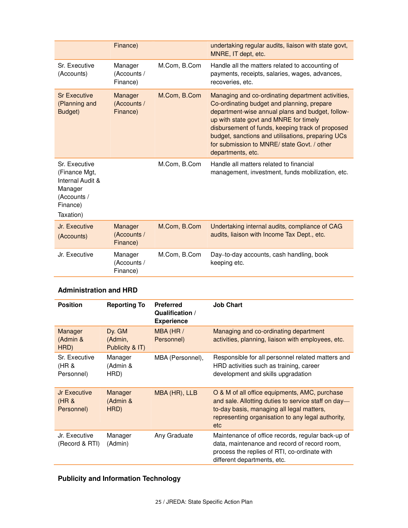|                                                                                                       | Finance)                           |              | undertaking regular audits, liaison with state govt,<br>MNRE, IT dept, etc.                                                                                                                                                                                                                                                                                                |
|-------------------------------------------------------------------------------------------------------|------------------------------------|--------------|----------------------------------------------------------------------------------------------------------------------------------------------------------------------------------------------------------------------------------------------------------------------------------------------------------------------------------------------------------------------------|
| Sr. Executive<br>(Accounts)                                                                           | Manager<br>(Accounts /<br>Finance) | M.Com, B.Com | Handle all the matters related to accounting of<br>payments, receipts, salaries, wages, advances,<br>recoveries, etc.                                                                                                                                                                                                                                                      |
| <b>Sr Executive</b><br>(Planning and<br>Budget)                                                       | Manager<br>(Accounts /<br>Finance) | M.Com, B.Com | Managing and co-ordinating department activities,<br>Co-ordinating budget and planning, prepare<br>department-wise annual plans and budget, follow-<br>up with state govt and MNRE for timely<br>disbursement of funds, keeping track of proposed<br>budget, sanctions and utilisations, preparing UCs<br>for submission to MNRE/ state Govt. / other<br>departments, etc. |
| Sr. Executive<br>(Finance Mgt,<br>Internal Audit &<br>Manager<br>(Accounts /<br>Finance)<br>Taxation) |                                    | M.Com, B.Com | Handle all matters related to financial<br>management, investment, funds mobilization, etc.                                                                                                                                                                                                                                                                                |
| Jr. Executive<br>(Accounts)                                                                           | Manager<br>(Accounts /<br>Finance) | M.Com, B.Com | Undertaking internal audits, compliance of CAG<br>audits, liaison with Income Tax Dept., etc.                                                                                                                                                                                                                                                                              |
| Jr. Executive                                                                                         | Manager<br>(Accounts /<br>Finance) | M.Com, B.Com | Day-to-day accounts, cash handling, book<br>keeping etc.                                                                                                                                                                                                                                                                                                                   |

## **Administration and HRD**

| <b>Position</b>                      | <b>Reporting To</b>                  | <b>Preferred</b><br>Qualification /<br><b>Experience</b> | <b>Job Chart</b>                                                                                                                                                                                                     |
|--------------------------------------|--------------------------------------|----------------------------------------------------------|----------------------------------------------------------------------------------------------------------------------------------------------------------------------------------------------------------------------|
| Manager<br>(Admin &<br>HRD)          | Dy. GM<br>(Admin,<br>Publicity & IT) | MBA (HR /<br>Personnel)                                  | Managing and co-ordinating department<br>activities, planning, liaison with employees, etc.                                                                                                                          |
| Sr. Executive<br>(HR &<br>Personnel) | Manager<br>(Admin &<br>HRD)          | MBA (Personnel),                                         | Responsible for all personnel related matters and<br>HRD activities such as training, career<br>development and skills upgradation                                                                                   |
| Jr Executive<br>(HR &<br>Personnel)  | Manager<br>(Admin &<br>HRD)          | MBA (HR), LLB                                            | O & M of all office equipments, AMC, purchase<br>and sale. Allotting duties to service staff on day-<br>to-day basis, managing all legal matters,<br>representing organisation to any legal authority,<br><b>etc</b> |
| Jr. Executive<br>(Record & RTI)      | Manager<br>(Admin)                   | Any Graduate                                             | Maintenance of office records, regular back-up of<br>data, maintenance and record of record room,<br>process the replies of RTI, co-ordinate with<br>different departments, etc.                                     |

## **Publicity and Information Technology**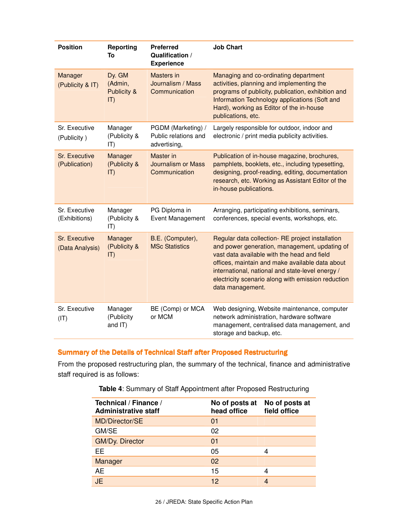| <b>Position</b>                  | Reporting<br>To                                 | <b>Preferred</b><br>Qualification /<br><b>Experience</b>   | <b>Job Chart</b>                                                                                                                                                                                                                                                                                                                  |
|----------------------------------|-------------------------------------------------|------------------------------------------------------------|-----------------------------------------------------------------------------------------------------------------------------------------------------------------------------------------------------------------------------------------------------------------------------------------------------------------------------------|
| Manager<br>(Publicity & IT)      | Dy. GM<br>(Admin,<br>Publicity &<br>$ T\rangle$ | Masters in<br>Journalism / Mass<br>Communication           | Managing and co-ordinating department<br>activities, planning and implementing the<br>programs of publicity, publication, exhibition and<br>Information Technology applications (Soft and<br>Hard), working as Editor of the in-house<br>publications, etc.                                                                       |
| Sr. Executive<br>(Publicity)     | Manager<br>(Publicity &<br>$ T\rangle$          | PGDM (Marketing) /<br>Public relations and<br>advertising, | Largely responsible for outdoor, indoor and<br>electronic / print media publicity activities.                                                                                                                                                                                                                                     |
| Sr. Executive<br>(Publication)   | Manager<br>(Publicity &<br> T)                  | Master in<br><b>Journalism or Mass</b><br>Communication    | Publication of in-house magazine, brochures,<br>pamphlets, booklets, etc., including typesetting,<br>designing, proof-reading, editing, documentation<br>research, etc. Working as Assistant Editor of the<br>in-house publications.                                                                                              |
| Sr. Executive<br>(Exhibitions)   | Manager<br>(Publicity &<br>$ T\rangle$          | PG Diploma in<br><b>Event Management</b>                   | Arranging, participating exhibitions, seminars,<br>conferences, special events, workshops, etc.                                                                                                                                                                                                                                   |
| Sr. Executive<br>(Data Analysis) | Manager<br>(Publicity &<br>$ T\rangle$          | B.E. (Computer),<br><b>MSc Statistics</b>                  | Regular data collection- RE project installation<br>and power generation, management, updating of<br>vast data available with the head and field<br>offices, maintain and make available data about<br>international, national and state-level energy /<br>electricity scenario along with emission reduction<br>data management. |
| Sr. Executive<br>(IT)            | Manager<br>(Publicity<br>and IT)                | BE (Comp) or MCA<br>or MCM                                 | Web designing, Website maintenance, computer<br>network administration, hardware software<br>management, centralised data management, and<br>storage and backup, etc.                                                                                                                                                             |

## Summary of the Details of Technical Staff after Proposed Restructuring

From the proposed restructuring plan, the summary of the technical, finance and administrative staff required is as follows:

| Technical / Finance /<br><b>Administrative staff</b> | No of posts at<br>head office | No of posts at<br>field office |
|------------------------------------------------------|-------------------------------|--------------------------------|
| MD/Director/SE                                       | 01                            |                                |
| GM/SE                                                | 02                            |                                |
| <b>GM/Dy. Director</b>                               | 01                            |                                |
| EE.                                                  | 05                            |                                |
| Manager                                              | 02                            |                                |
| AE                                                   | 15                            |                                |
| <b>JE</b>                                            | 12                            |                                |

**Table 4**: Summary of Staff Appointment after Proposed Restructuring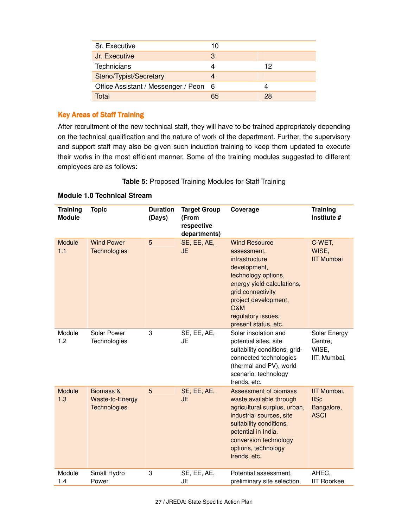| Sr. Executive                         | 10 |    |
|---------------------------------------|----|----|
| Jr. Executive                         | 3  |    |
| <b>Technicians</b>                    |    | 12 |
| Steno/Typist/Secretary                |    |    |
| Office Assistant / Messenger / Peon 6 |    |    |
| Total                                 | 65 | 28 |

## **Key Areas of Staff Training**

After recruitment of the new technical staff, they will have to be trained appropriately depending on the technical qualification and the nature of work of the department. Further, the supervisory and support staff may also be given such induction training to keep them updated to execute their works in the most efficient manner. Some of the training modules suggested to different employees are as follows:

#### **Table 5:** Proposed Training Modules for Staff Training

#### **Module 1.0 Technical Stream**

| <b>Training</b><br><b>Module</b> | <b>Topic</b>                                               | <b>Duration</b><br>(Days) | <b>Target Group</b><br>(From<br>respective<br>departments) | Coverage                                                                                                                                                                                                                       | <b>Training</b><br>Institute #                          |
|----------------------------------|------------------------------------------------------------|---------------------------|------------------------------------------------------------|--------------------------------------------------------------------------------------------------------------------------------------------------------------------------------------------------------------------------------|---------------------------------------------------------|
| Module<br>1.1                    | <b>Wind Power</b><br><b>Technologies</b>                   | 5                         | SE, EE, AE,<br><b>JE</b>                                   | <b>Wind Resource</b><br>assessment,<br>infrastructure<br>development,<br>technology options,<br>energy yield calculations,<br>grid connectivity<br>project development,<br>O&M<br>regulatory issues,<br>present status, etc.   | C-WET,<br>WISE,<br><b>IIT Mumbai</b>                    |
| Module<br>1.2                    | Solar Power<br>Technologies                                | 3                         | SE, EE, AE,<br>JE                                          | Solar insolation and<br>potential sites, site<br>suitability conditions, grid-<br>connected technologies<br>(thermal and PV), world<br>scenario, technology<br>trends, etc.                                                    | Solar Energy<br>Centre,<br>WISE,<br>IIT. Mumbai,        |
| Module<br>1.3                    | Biomass &<br><b>Waste-to-Energy</b><br><b>Technologies</b> | 5                         | SE, EE, AE,<br><b>JE</b>                                   | Assessment of biomass<br>waste available through<br>agricultural surplus, urban,<br>industrial sources, site<br>suitability conditions,<br>potential in India,<br>conversion technology<br>options, technology<br>trends, etc. | IIT Mumbai,<br><b>IISc</b><br>Bangalore,<br><b>ASCI</b> |
| Module<br>1.4                    | Small Hydro<br>Power                                       | 3                         | SE, EE, AE,<br><b>JE</b>                                   | Potential assessment,<br>preliminary site selection,                                                                                                                                                                           | AHEC,<br><b>IIT Roorkee</b>                             |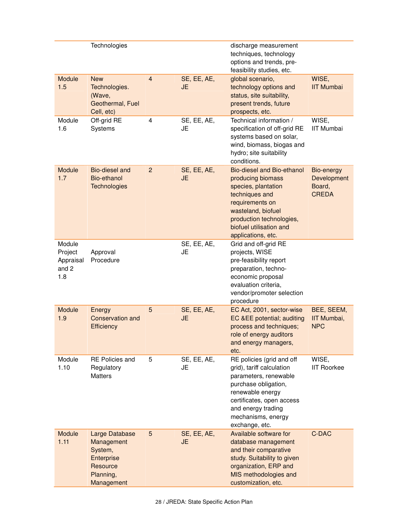|                                                | Technologies                                                                                 |                |                          | discharge measurement<br>techniques, technology<br>options and trends, pre-<br>feasibility studies, etc.                                                                                                               |                                                     |
|------------------------------------------------|----------------------------------------------------------------------------------------------|----------------|--------------------------|------------------------------------------------------------------------------------------------------------------------------------------------------------------------------------------------------------------------|-----------------------------------------------------|
| Module<br>1.5                                  | <b>New</b><br>Technologies.<br>(Wave,<br>Geothermal, Fuel<br>Cell, etc)                      | $\overline{4}$ | SE, EE, AE,<br>JE        | global scenario,<br>technology options and<br>status, site suitability,<br>present trends, future<br>prospects, etc.                                                                                                   | WISE,<br><b>IIT Mumbai</b>                          |
| Module<br>1.6                                  | Off-grid RE<br>Systems                                                                       | 4              | SE, EE, AE,<br><b>JE</b> | Technical information /<br>specification of off-grid RE<br>systems based on solar,<br>wind, biomass, biogas and<br>hydro; site suitability<br>conditions.                                                              | WISE,<br><b>IIT Mumbai</b>                          |
| <b>Module</b><br>1.7                           | Bio-diesel and<br>Bio-ethanol<br><b>Technologies</b>                                         | $\overline{2}$ | SE, EE, AE,<br><b>JE</b> | <b>Bio-diesel and Bio-ethanol</b><br>producing biomass<br>species, plantation<br>techniques and<br>requirements on<br>wasteland, biofuel<br>production technologies,<br>biofuel utilisation and<br>applications, etc.  | Bio-energy<br>Development<br>Board,<br><b>CREDA</b> |
| Module<br>Project<br>Appraisal<br>and 2<br>1.8 | Approval<br>Procedure                                                                        |                | SE, EE, AE,<br>JE        | Grid and off-grid RE<br>projects, WISE<br>pre-feasibility report<br>preparation, techno-<br>economic proposal<br>evaluation criteria,<br>vendor/promoter selection<br>procedure                                        |                                                     |
| Module<br>1.9                                  | Energy<br><b>Conservation and</b><br>Efficiency                                              | 5              | SE, EE, AE,<br><b>JE</b> | EC Act, 2001, sector-wise<br>EC &EE potential; auditing<br>process and techniques;<br>role of energy auditors<br>and energy managers,<br>etc.                                                                          | BEE, SEEM,<br>IIT Mumbai,<br><b>NPC</b>             |
| Module<br>1.10                                 | <b>RE Policies and</b><br>Regulatory<br><b>Matters</b>                                       | 5              | SE, EE, AE,<br>JE        | RE policies (grid and off<br>grid), tariff calculation<br>parameters, renewable<br>purchase obligation,<br>renewable energy<br>certificates, open access<br>and energy trading<br>mechanisms, energy<br>exchange, etc. | WISE,<br><b>IIT Roorkee</b>                         |
| Module<br>1.11                                 | Large Database<br>Management<br>System,<br>Enterprise<br>Resource<br>Planning,<br>Management | 5              | SE, EE, AE,<br>JE        | Available software for<br>database management<br>and their comparative<br>study. Suitability to given<br>organization, ERP and<br>MIS methodologies and<br>customization, etc.                                         | C-DAC                                               |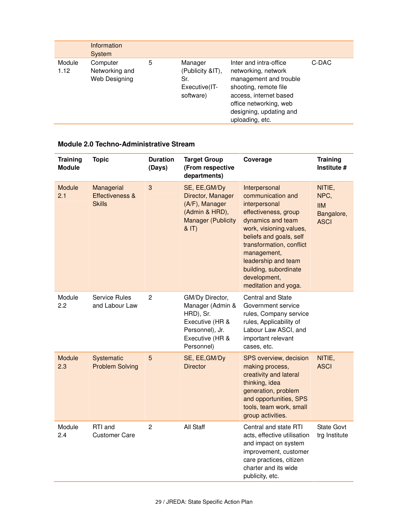|                | Information<br>System                       |   |                                                                  |                                                                                                                                                                                                    |       |
|----------------|---------------------------------------------|---|------------------------------------------------------------------|----------------------------------------------------------------------------------------------------------------------------------------------------------------------------------------------------|-------|
| Module<br>1.12 | Computer<br>Networking and<br>Web Designing | 5 | Manager<br>(Publicity &IT),<br>Sr.<br>Executive(IT-<br>software) | Inter and intra-office<br>networking, network<br>management and trouble<br>shooting, remote file<br>access, internet based<br>office networking, web<br>designing, updating and<br>uploading, etc. | C-DAC |

## **Module 2.0 Techno-Administrative Stream**

| <b>Training</b><br><b>Module</b> | <b>Topic</b>                                   | <b>Duration</b><br>(Days) | <b>Target Group</b><br>(From respective<br>departments)                                                                 | Coverage                                                                                                                                                                                                                                                                                  | <b>Training</b><br>Institute #                            |
|----------------------------------|------------------------------------------------|---------------------------|-------------------------------------------------------------------------------------------------------------------------|-------------------------------------------------------------------------------------------------------------------------------------------------------------------------------------------------------------------------------------------------------------------------------------------|-----------------------------------------------------------|
| Module<br>2.1                    | Managerial<br>Effectiveness &<br><b>Skills</b> | 3                         | SE, EE, GM/Dy<br>Director, Manager<br>(A/F), Manager<br>(Admin & HRD),<br><b>Manager (Publicity</b><br>8 T              | Interpersonal<br>communication and<br>interpersonal<br>effectiveness, group<br>dynamics and team<br>work, visioning.values,<br>beliefs and goals, self<br>transformation, conflict<br>management,<br>leadership and team<br>building, subordinate<br>development,<br>meditation and yoga. | NITIE,<br>NPC,<br><b>IIM</b><br>Bangalore,<br><b>ASCI</b> |
| Module<br>2.2                    | Service Rules<br>and Labour Law                | $\overline{2}$            | GM/Dy Director,<br>Manager (Admin &<br>HRD), Sr.<br>Executive (HR &<br>Personnel), Jr.<br>Executive (HR &<br>Personnel) | <b>Central and State</b><br>Government service<br>rules, Company service<br>rules, Applicability of<br>Labour Law ASCI, and<br>important relevant<br>cases, etc.                                                                                                                          |                                                           |
| Module<br>2.3                    | Systematic<br><b>Problem Solving</b>           | 5                         | SE, EE, GM/Dy<br><b>Director</b>                                                                                        | SPS overview, decision<br>making process,<br>creativity and lateral<br>thinking, idea<br>generation, problem<br>and opportunities, SPS<br>tools, team work, small<br>group activities.                                                                                                    | NITIE,<br><b>ASCI</b>                                     |
| Module<br>2.4                    | RTI and<br><b>Customer Care</b>                | $\overline{c}$            | All Staff                                                                                                               | Central and state RTI<br>acts, effective utilisation<br>and impact on system<br>improvement, customer<br>care practices, citizen<br>charter and its wide<br>publicity, etc.                                                                                                               | State Govt<br>trg Institute                               |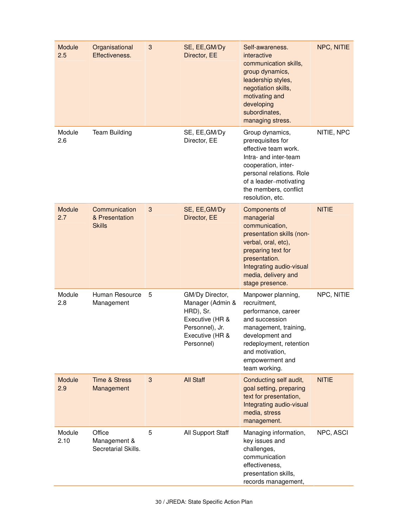| Module<br>2.5  | Organisational<br>Effectiveness.                 | $\mathbf{3}$ | SE, EE, GM/Dy<br>Director, EE                                                                                           | Self-awareness.<br>interactive<br>communication skills,<br>group dynamics,<br>leadership styles,<br>negotiation skills,<br>motivating and<br>developing<br>subordinates,<br>managing stress.                    | NPC, NITIE   |
|----------------|--------------------------------------------------|--------------|-------------------------------------------------------------------------------------------------------------------------|-----------------------------------------------------------------------------------------------------------------------------------------------------------------------------------------------------------------|--------------|
| Module<br>2.6  | <b>Team Building</b>                             |              | SE, EE, GM/Dy<br>Director, EE                                                                                           | Group dynamics,<br>prerequisites for<br>effective team work.<br>Intra- and inter-team<br>cooperation, inter-<br>personal relations. Role<br>of a leader-motivating<br>the members, conflict<br>resolution, etc. | NITIE, NPC   |
| Module<br>2.7  | Communication<br>& Presentation<br><b>Skills</b> | 3            | SE, EE, GM/Dy<br>Director, EE                                                                                           | Components of<br>managerial<br>communication,<br>presentation skills (non-<br>verbal, oral, etc),<br>preparing text for<br>presentation.<br>Integrating audio-visual<br>media, delivery and<br>stage presence.  | <b>NITIE</b> |
| Module<br>2.8  | Human Resource<br>Management                     | 5            | GM/Dy Director,<br>Manager (Admin &<br>HRD), Sr.<br>Executive (HR &<br>Personnel), Jr.<br>Executive (HR &<br>Personnel) | Manpower planning,<br>recruitment,<br>performance, career<br>and succession<br>management, training,<br>development and<br>redeployment, retention<br>and motivation,<br>empowerment and<br>team working.       | NPC, NITIE   |
| Module<br>2.9  | <b>Time &amp; Stress</b><br>Management           | 3            | <b>All Staff</b>                                                                                                        | Conducting self audit,<br>goal setting, preparing<br>text for presentation,<br>Integrating audio-visual<br>media, stress<br>management.                                                                         | <b>NITIE</b> |
| Module<br>2.10 | Office<br>Management &<br>Secretarial Skills.    | 5            | All Support Staff                                                                                                       | Managing information,<br>key issues and<br>challenges,<br>communication<br>effectiveness,<br>presentation skills,<br>records management,                                                                        | NPC, ASCI    |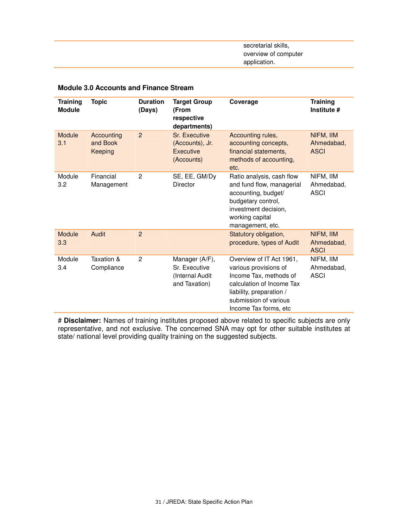secretarial skills, overview of computer application.

| <b>Training</b><br><b>Module</b> | <b>Topic</b>                      | <b>Duration</b><br>(Days) | <b>Target Group</b><br>(From<br>respective<br>departments)          | Coverage                                                                                                                                                                                | <b>Training</b><br>Institute #         |
|----------------------------------|-----------------------------------|---------------------------|---------------------------------------------------------------------|-----------------------------------------------------------------------------------------------------------------------------------------------------------------------------------------|----------------------------------------|
| Module<br>3.1                    | Accounting<br>and Book<br>Keeping | $\overline{2}$            | <b>Sr. Executive</b><br>(Accounts), Jr.<br>Executive<br>(Accounts)  | Accounting rules,<br>accounting concepts,<br>financial statements,<br>methods of accounting,<br>etc.                                                                                    | NIFM, IIM<br>Ahmedabad,<br><b>ASCI</b> |
| Module<br>3.2                    | Financial<br>Management           | 2                         | SE, EE, GM/Dy<br><b>Director</b>                                    | Ratio analysis, cash flow<br>and fund flow, managerial<br>accounting, budget/<br>budgetary control,<br>investment decision,<br>working capital<br>management, etc.                      | NIFM, IIM<br>Ahmedabad,<br><b>ASCI</b> |
| Module<br>3.3                    | Audit                             | $\overline{2}$            |                                                                     | Statutory obligation,<br>procedure, types of Audit                                                                                                                                      | NIFM, IIM<br>Ahmedabad,<br><b>ASCI</b> |
| Module<br>3.4                    | Taxation &<br>Compliance          | 2                         | Manager (A/F),<br>Sr. Executive<br>(Internal Audit<br>and Taxation) | Overview of IT Act 1961,<br>various provisions of<br>Income Tax, methods of<br>calculation of Income Tax<br>liability, preparation /<br>submission of various<br>Income Tax forms, etc. | NIFM, IIM<br>Ahmedabad,<br><b>ASCI</b> |

#### **Module 3.0 Accounts and Finance Stream**

# **Disclaimer:** Names of training institutes proposed above related to specific subjects are only representative, and not exclusive. The concerned SNA may opt for other suitable institutes at state/ national level providing quality training on the suggested subjects.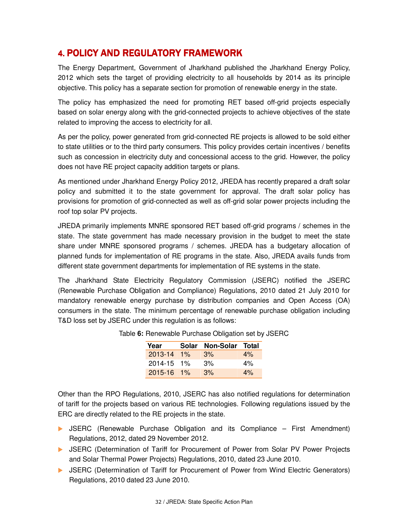## 4. POLICY AND REGULATORY FRAMEWORK

The Energy Department, Government of Jharkhand published the Jharkhand Energy Policy, 2012 which sets the target of providing electricity to all households by 2014 as its principle objective. This policy has a separate section for promotion of renewable energy in the state.

The policy has emphasized the need for promoting RET based off-grid projects especially based on solar energy along with the grid-connected projects to achieve objectives of the state related to improving the access to electricity for all.

As per the policy, power generated from grid-connected RE projects is allowed to be sold either to state utilities or to the third party consumers. This policy provides certain incentives / benefits such as concession in electricity duty and concessional access to the grid. However, the policy does not have RE project capacity addition targets or plans.

As mentioned under Jharkhand Energy Policy 2012, JREDA has recently prepared a draft solar policy and submitted it to the state government for approval. The draft solar policy has provisions for promotion of grid-connected as well as off-grid solar power projects including the roof top solar PV projects.

JREDA primarily implements MNRE sponsored RET based off-grid programs / schemes in the state. The state government has made necessary provision in the budget to meet the state share under MNRE sponsored programs / schemes. JREDA has a budgetary allocation of planned funds for implementation of RE programs in the state. Also, JREDA avails funds from different state government departments for implementation of RE systems in the state.

The Jharkhand State Electricity Regulatory Commission (JSERC) notified the JSERC (Renewable Purchase Obligation and Compliance) Regulations, 2010 dated 21 July 2010 for mandatory renewable energy purchase by distribution companies and Open Access (OA) consumers in the state. The minimum percentage of renewable purchase obligation including T&D loss set by JSERC under this regulation is as follows:

| Year           |       | Solar Non-Solar Total |       |
|----------------|-------|-----------------------|-------|
| 2013-14        | $1\%$ | 3%                    | 4%    |
| $2014 - 15$ 1% |       | 3%                    | $4\%$ |
| 2015-16        | $1\%$ | 3%                    | 4%    |

Table **6:** Renewable Purchase Obligation set by JSERC

Other than the RPO Regulations, 2010, JSERC has also notified regulations for determination of tariff for the projects based on various RE technologies. Following regulations issued by the ERC are directly related to the RE projects in the state.

- **D** JSERC (Renewable Purchase Obligation and its Compliance First Amendment) Regulations, 2012, dated 29 November 2012.
- JSERC (Determination of Tariff for Procurement of Power from Solar PV Power Projects and Solar Thermal Power Projects) Regulations, 2010, dated 23 June 2010.
- JSERC (Determination of Tariff for Procurement of Power from Wind Electric Generators) Regulations, 2010 dated 23 June 2010.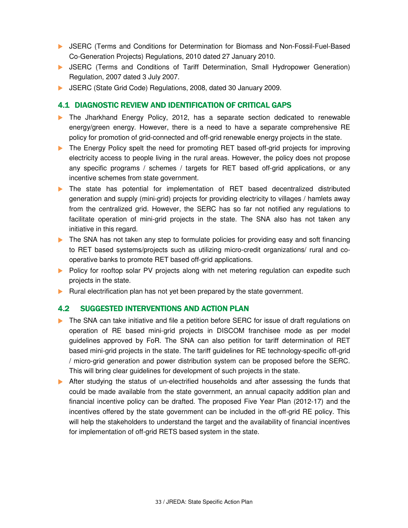- **D** JSERC (Terms and Conditions for Determination for Biomass and Non-Fossil-Fuel-Based Co-Generation Projects) Regulations, 2010 dated 27 January 2010.
- **D** JSERC (Terms and Conditions of Tariff Determination, Small Hydropower Generation) Regulation, 2007 dated 3 July 2007.
- JSERC (State Grid Code) Regulations, 2008, dated 30 January 2009.

## 4.1 DIAGNOSTIC REVIEW AND IDENTIFICATION OF CRITICAL GAPS

- The Jharkhand Energy Policy, 2012, has a separate section dedicated to renewable energy/green energy. However, there is a need to have a separate comprehensive RE policy for promotion of grid-connected and off-grid renewable energy projects in the state.
- The Energy Policy spelt the need for promoting RET based off-grid projects for improving electricity access to people living in the rural areas. However, the policy does not propose any specific programs / schemes / targets for RET based off-grid applications, or any incentive schemes from state government.
- The state has potential for implementation of RET based decentralized distributed generation and supply (mini-grid) projects for providing electricity to villages / hamlets away from the centralized grid. However, the SERC has so far not notified any regulations to facilitate operation of mini-grid projects in the state. The SNA also has not taken any initiative in this regard.
- The SNA has not taken any step to formulate policies for providing easy and soft financing to RET based systems/projects such as utilizing micro-credit organizations/ rural and cooperative banks to promote RET based off-grid applications.
- **Policy for rooftop solar PV projects along with net metering regulation can expedite such** projects in the state.
- $\blacktriangleright$  Rural electrification plan has not yet been prepared by the state government.

## 4.2 SUGGESTED INTERVENTIONS AND ACTION PLAN

- The SNA can take initiative and file a petition before SERC for issue of draft regulations on operation of RE based mini-grid projects in DISCOM franchisee mode as per model guidelines approved by FoR. The SNA can also petition for tariff determination of RET based mini-grid projects in the state. The tariff guidelines for RE technology-specific off-grid / micro-grid generation and power distribution system can be proposed before the SERC. This will bring clear guidelines for development of such projects in the state.
- After studying the status of un-electrified households and after assessing the funds that could be made available from the state government, an annual capacity addition plan and financial incentive policy can be drafted. The proposed Five Year Plan (2012-17) and the incentives offered by the state government can be included in the off-grid RE policy. This will help the stakeholders to understand the target and the availability of financial incentives for implementation of off-grid RETS based system in the state.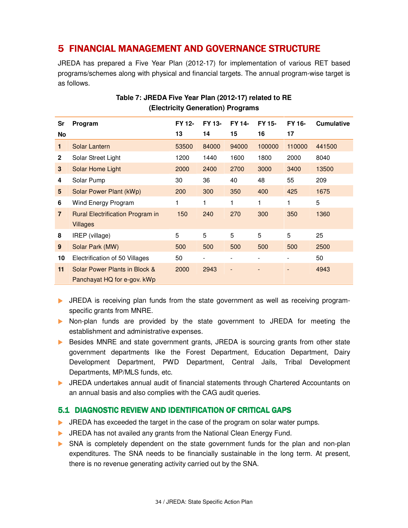## 5 FINANCIAL MANAGEMENT AND GOVERNANCE STRUCTURE

JREDA has prepared a Five Year Plan (2012-17) for implementation of various RET based programs/schemes along with physical and financial targets. The annual program-wise target is as follows.

| Sr             | Program                                                      | FY 12-<br>13 | FY 13-<br>14 | FY 14-<br>15 | FY 15-<br>16 | FY 16-<br>17                 | <b>Cumulative</b> |
|----------------|--------------------------------------------------------------|--------------|--------------|--------------|--------------|------------------------------|-------------------|
| No             |                                                              |              |              |              |              |                              |                   |
| 1.             | Solar Lantern                                                | 53500        | 84000        | 94000        | 100000       | 110000                       | 441500            |
| $\mathbf{2}$   | Solar Street Light                                           | 1200         | 1440         | 1600         | 1800         | 2000                         | 8040              |
| 3              | Solar Home Light                                             | 2000         | 2400         | 2700         | 3000         | 3400                         | 13500             |
| 4              | Solar Pump                                                   | 30           | 36           | 40           | 48           | 55                           | 209               |
| 5              | Solar Power Plant (kWp)                                      | 200          | 300          | 350          | 400          | 425                          | 1675              |
| 6              | Wind Energy Program                                          |              | 1            | 1            | 1            |                              | 5                 |
| $\overline{7}$ | <b>Rural Electrification Program in</b>                      | 150          | 240          | 270          | 300          | 350                          | 1360              |
|                | <b>Villages</b>                                              |              |              |              |              |                              |                   |
| 8              | IREP (village)                                               | 5            | 5            | 5            | 5            | 5                            | 25                |
| 9              | Solar Park (MW)                                              | 500          | 500          | 500          | 500          | 500                          | 2500              |
| 10             | Electrification of 50 Villages                               | 50           |              |              |              | $\qquad \qquad \blacksquare$ | 50                |
| 11             | Solar Power Plants in Block &<br>Panchayat HQ for e-gov. kWp | 2000         | 2943         | ٠            |              |                              | 4943              |

## **Table 7: JREDA Five Year Plan (2012-17) related to RE (Electricity Generation) Programs**

- **IF JREDA** is receiving plan funds from the state government as well as receiving programspecific grants from MNRE.
- Non-plan funds are provided by the state government to JREDA for meeting the establishment and administrative expenses.
- Besides MNRE and state government grants, JREDA is sourcing grants from other state government departments like the Forest Department, Education Department, Dairy Development Department, PWD Department, Central Jails, Tribal Development Departments, MP/MLS funds, etc.
- JREDA undertakes annual audit of financial statements through Chartered Accountants on an annual basis and also complies with the CAG audit queries.

## 5.1 DIAGNOSTIC REVIEW AND IDENTIFICATION OF CRITICAL GAPS

- **IF JREDA has exceeded the target in the case of the program on solar water pumps.**
- **IF JREDA has not availed any grants from the National Clean Energy Fund.**
- SNA is completely dependent on the state government funds for the plan and non-plan expenditures. The SNA needs to be financially sustainable in the long term. At present, there is no revenue generating activity carried out by the SNA.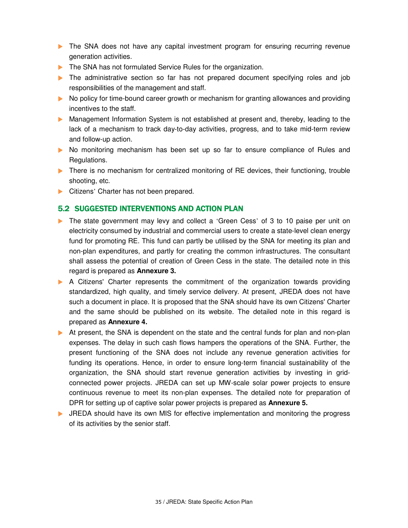- **The SNA does not have any capital investment program for ensuring recurring revenue** generation activities.
- The SNA has not formulated Service Rules for the organization.
- The administrative section so far has not prepared document specifying roles and job responsibilities of the management and staff.
- No policy for time-bound career growth or mechanism for granting allowances and providing incentives to the staff.
- Management Information System is not established at present and, thereby, leading to the lack of a mechanism to track day-to-day activities, progress, and to take mid-term review and follow-up action.
- No monitoring mechanism has been set up so far to ensure compliance of Rules and Regulations.
- There is no mechanism for centralized monitoring of RE devices, their functioning, trouble shooting, etc.
- Citizens' Charter has not been prepared.

## 5.2 SUGGESTED INTERVENTIONS AND ACTION PLAN

- The state government may levy and collect a 'Green Cess' of 3 to 10 paise per unit on electricity consumed by industrial and commercial users to create a state-level clean energy fund for promoting RE. This fund can partly be utilised by the SNA for meeting its plan and non-plan expenditures, and partly for creating the common infrastructures. The consultant shall assess the potential of creation of Green Cess in the state. The detailed note in this regard is prepared as **Annexure 3.**
- A Citizens' Charter represents the commitment of the organization towards providing standardized, high quality, and timely service delivery. At present, JREDA does not have such a document in place. It is proposed that the SNA should have its own Citizens' Charter and the same should be published on its website. The detailed note in this regard is prepared as **Annexure 4.**
- At present, the SNA is dependent on the state and the central funds for plan and non-plan expenses. The delay in such cash flows hampers the operations of the SNA. Further, the present functioning of the SNA does not include any revenue generation activities for funding its operations. Hence, in order to ensure long-term financial sustainability of the organization, the SNA should start revenue generation activities by investing in gridconnected power projects. JREDA can set up MW-scale solar power projects to ensure continuous revenue to meet its non-plan expenses. The detailed note for preparation of DPR for setting up of captive solar power projects is prepared as **Annexure 5.**
- **IFM** JREDA should have its own MIS for effective implementation and monitoring the progress of its activities by the senior staff.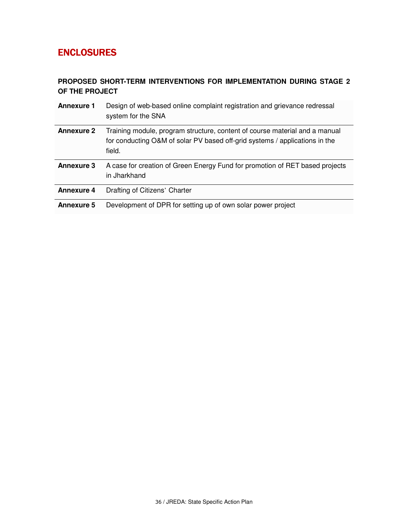## **ENCLOSURES**

## **PROPOSED SHORT-TERM INTERVENTIONS FOR IMPLEMENTATION DURING STAGE 2 OF THE PROJECT**

| <b>Annexure 1</b> | Design of web-based online complaint registration and grievance redressal<br>system for the SNA                                                                      |
|-------------------|----------------------------------------------------------------------------------------------------------------------------------------------------------------------|
| <b>Annexure 2</b> | Training module, program structure, content of course material and a manual<br>for conducting O&M of solar PV based off-grid systems / applications in the<br>field. |
| <b>Annexure 3</b> | A case for creation of Green Energy Fund for promotion of RET based projects<br>in Jharkhand                                                                         |
| <b>Annexure 4</b> | Drafting of Citizens' Charter                                                                                                                                        |
| <b>Annexure 5</b> | Development of DPR for setting up of own solar power project                                                                                                         |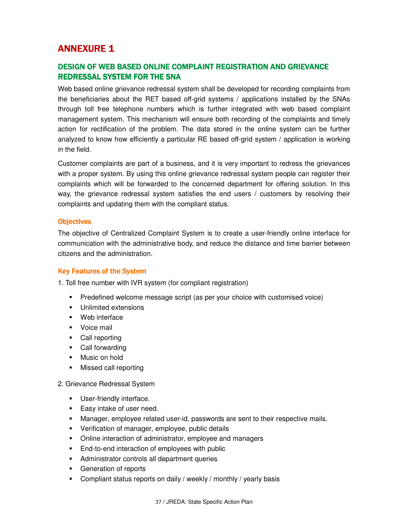## **ANNEXURE 1**

## DESIGN OF WEB BASED ONLINE COMPLAINT REGISTRATION AND GRIEVANCE REDRESSAL SYSTEM FOR THE SNA

Web based online grievance redressal system shall be developed for recording complaints from the beneficiaries about the RET based off-grid systems / applications installed by the SNAs through toll free telephone numbers which is further integrated with web based complaint management system. This mechanism will ensure both recording of the complaints and timely action for rectification of the problem. The data stored in the online system can be further analyzed to know how efficiently a particular RE based off-grid system / application is working in the field.

Customer complaints are part of a business, and it is very important to redress the grievances with a proper system. By using this online grievance redressal system people can register their complaints which will be forwarded to the concerned department for offering solution. In this way, the grievance redressal system satisfies the end users / customers by resolving their complaints and updating them with the compliant status.

#### **Objectives**

The objective of Centralized Complaint System is to create a user-friendly online interface for communication with the administrative body, and reduce the distance and time barrier between citizens and the administration.

#### Key Features of the System

1. Toll free number with IVR system (for compliant registration)

- Predefined welcome message script (as per your choice with customised voice)
- **Unlimited extensions**
- **Web interface**
- **Voice mail**
- Call reporting
- Call forwarding
- **Nusic on hold**
- **Missed call reporting**
- 2. Grievance Redressal System
	- **User-friendly interface.**
	- **Easy intake of user need.**
	- Manager, employee related user-id, passwords are sent to their respective mails.
	- **•** Verification of manager, employee, public details
	- **Online interaction of administrator, employee and managers**
	- **End-to-end interaction of employees with public**
	- **Administrator controls all department queries**
	- Generation of reports
	- **Compliant status reports on daily / weekly / monthly / yearly basis**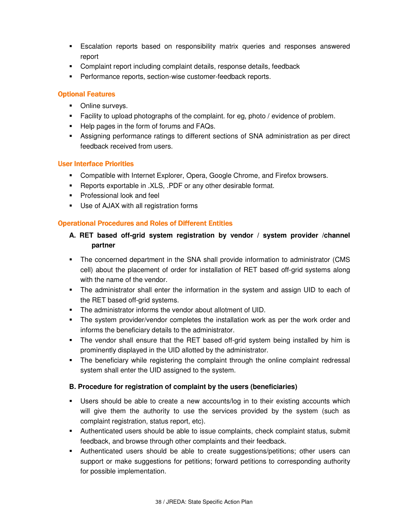- Escalation reports based on responsibility matrix queries and responses answered report
- Complaint report including complaint details, response details, feedback
- **Performance reports, section-wise customer-feedback reports.**

#### **Optional Features**

- **Online surveys.**
- Facility to upload photographs of the complaint. for eg, photo / evidence of problem.
- Help pages in the form of forums and FAQs.
- Assigning performance ratings to different sections of SNA administration as per direct feedback received from users.

#### **User Interface Priorities**

- Compatible with Internet Explorer, Opera, Google Chrome, and Firefox browsers.
- **Reports exportable in .XLS, .PDF or any other desirable format.**
- **Professional look and feel**
- Use of AJAX with all registration forms

#### **Operational Procedures and Roles of Different Entities**

## **A. RET based off-grid system registration by vendor / system provider /channel partner**

- The concerned department in the SNA shall provide information to administrator (CMS cell) about the placement of order for installation of RET based off-grid systems along with the name of the vendor.
- The administrator shall enter the information in the system and assign UID to each of the RET based off-grid systems.
- The administrator informs the vendor about allotment of UID.
- The system provider/vendor completes the installation work as per the work order and informs the beneficiary details to the administrator.
- The vendor shall ensure that the RET based off-grid system being installed by him is prominently displayed in the UID allotted by the administrator.
- The beneficiary while registering the complaint through the online complaint redressal system shall enter the UID assigned to the system.

#### **B. Procedure for registration of complaint by the users (beneficiaries)**

- Users should be able to create a new accounts/log in to their existing accounts which will give them the authority to use the services provided by the system (such as complaint registration, status report, etc).
- Authenticated users should be able to issue complaints, check complaint status, submit feedback, and browse through other complaints and their feedback.
- Authenticated users should be able to create suggestions/petitions; other users can support or make suggestions for petitions; forward petitions to corresponding authority for possible implementation.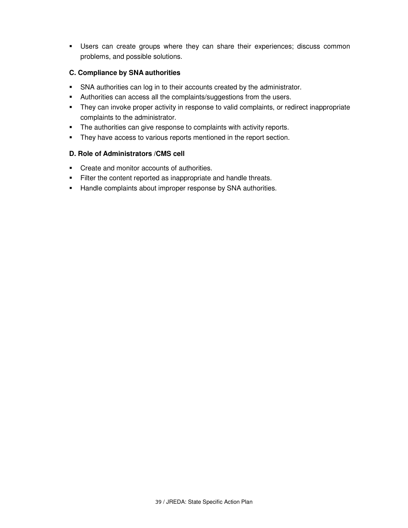Users can create groups where they can share their experiences; discuss common problems, and possible solutions.

#### **C. Compliance by SNA authorities**

- SNA authorities can log in to their accounts created by the administrator.
- Authorities can access all the complaints/suggestions from the users.
- They can invoke proper activity in response to valid complaints, or redirect inappropriate complaints to the administrator.
- **The authorities can give response to complaints with activity reports.**
- **They have access to various reports mentioned in the report section.**

#### **D. Role of Administrators /CMS cell**

- Create and monitor accounts of authorities.
- Filter the content reported as inappropriate and handle threats.
- **Handle complaints about improper response by SNA authorities.**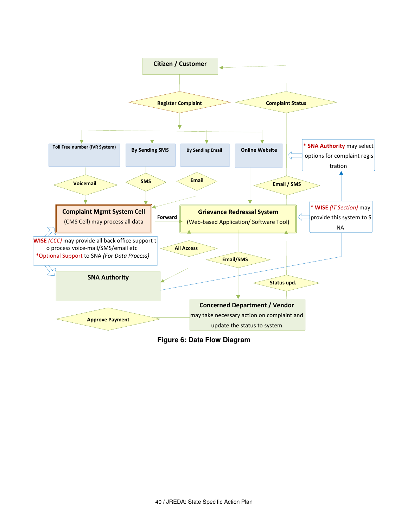

**Figure 6: Data Flow Diagram**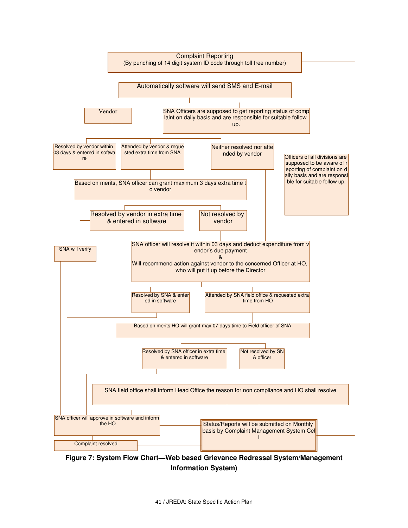

## **Figure 7: System Flow Chart—Web based Grievance Redressal System/Management Information System)**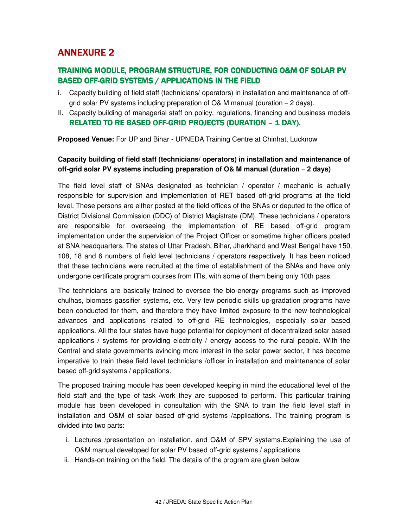## **ANNEXURE 2**

## TRAINING MODULE, PROGRAM STRUCTURE, FOR CONDUCTING O&M OF SOLAR PV BASED OFF-GRID SYSTEMS / APPLICATIONS IN THE FIELD

- i. Capacity building of field staff (technicians/ operators) in installation and maintenance of offgrid solar PV systems including preparation of O& M manual (duration – 2 days).
- II. Capacity building of managerial staff on policy, regulations, financing and business models RELATED TO RE BASED OFF-GRID PROJECTS (DURATION – 1 DAY).

**Proposed Venue:** For UP and Bihar - UPNEDA Training Centre at Chinhat, Lucknow

## **Capacity building of field staff (technicians/ operators) in installation and maintenance of off-grid solar PV systems including preparation of O& M manual (duration – 2 days)**

The field level staff of SNAs designated as technician / operator / mechanic is actually responsible for supervision and implementation of RET based off-grid programs at the field level. These persons are either posted at the field offices of the SNAs or deputed to the office of District Divisional Commission (DDC) of District Magistrate (DM). These technicians / operators are responsible for overseeing the implementation of RE based off-grid program implementation under the supervision of the Project Officer or sometime higher officers posted at SNA headquarters. The states of Uttar Pradesh, Bihar, Jharkhand and West Bengal have 150, 108, 18 and 6 numbers of field level technicians / operators respectively. It has been noticed that these technicians were recruited at the time of establishment of the SNAs and have only undergone certificate program courses from ITIs, with some of them being only 10th pass.

The technicians are basically trained to oversee the bio-energy programs such as improved chulhas, biomass gassifier systems, etc. Very few periodic skills up-gradation programs have been conducted for them, and therefore they have limited exposure to the new technological advances and applications related to off-grid RE technologies, especially solar based applications. All the four states have huge potential for deployment of decentralized solar based applications / systems for providing electricity / energy access to the rural people. With the Central and state governments evincing more interest in the solar power sector, it has become imperative to train these field level technicians /officer in installation and maintenance of solar based off-grid systems / applications.

The proposed training module has been developed keeping in mind the educational level of the field staff and the type of task /work they are supposed to perform. This particular training module has been developed in consultation with the SNA to train the field level staff in installation and O&M of solar based off-grid systems /applications. The training program is divided into two parts:

- i. Lectures /presentation on installation, and O&M of SPV systems.Explaining the use of O&M manual developed for solar PV based off-grid systems / applications
- ii. Hands-on training on the field. The details of the program are given below.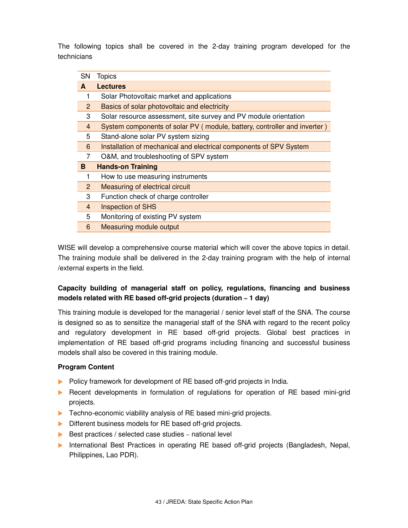The following topics shall be covered in the 2-day training program developed for the technicians

| System components of solar PV (module, battery, controller and inverter) |
|--------------------------------------------------------------------------|
|                                                                          |
| Installation of mechanical and electrical components of SPV System       |
|                                                                          |
|                                                                          |
|                                                                          |
|                                                                          |
|                                                                          |
|                                                                          |
|                                                                          |
|                                                                          |
|                                                                          |

WISE will develop a comprehensive course material which will cover the above topics in detail. The training module shall be delivered in the 2-day training program with the help of internal /external experts in the field.

## **Capacity building of managerial staff on policy, regulations, financing and business models related with RE based off-grid projects (duration – 1 day)**

This training module is developed for the managerial / senior level staff of the SNA. The course is designed so as to sensitize the managerial staff of the SNA with regard to the recent policy and regulatory development in RE based off-grid projects. Global best practices in implementation of RE based off-grid programs including financing and successful business models shall also be covered in this training module.

## **Program Content**

- Policy framework for development of RE based off-grid projects in India.
- **Recent developments in formulation of regulations for operation of RE based mini-grid** projects.
- ▶ Techno-economic viability analysis of RE based mini-grid projects.
- Different business models for RE based off-grid projects.
- $\triangleright$  Best practices / selected case studies national level
- **International Best Practices in operating RE based off-grid projects (Bangladesh, Nepal,** Philippines, Lao PDR).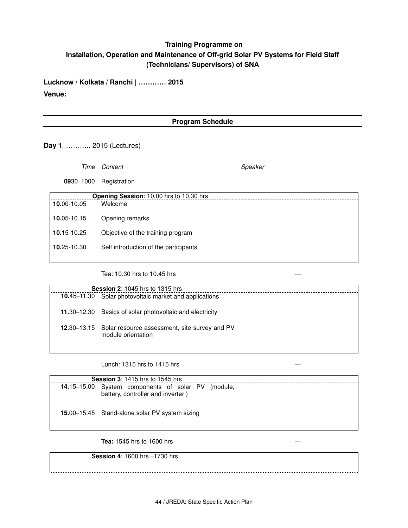## **Training Programme on Installation, Operation and Maintenance of Off-grid Solar PV Systems for Field Staff (Technicians/ Supervisors) of SNA**

**Lucknow / Kolkata / Ranchi | ………… 2015 Venue:** 

#### **Program Schedule**

**Day 1**, ……….. 2015 (Lectures)

Time Content Speaker **09**30–1000 Registration **Opening Session**: 10.00 hrs to 10.30 hrs **10.**00-10.05 **10.**05-10.15 Welcome Opening remarks

- **10.**15-10.25 Objective of the training program
- **10.**25-10.30 Self introduction of the participants

Tea: 10.30 hrs to 10.45 hrs —

| <b>Session 2: 1045 hrs to 1315 hrs</b>                                          |
|---------------------------------------------------------------------------------|
| 10.45–11.30 Solar photovoltaic market and applications                          |
| 11.30–12.30 Basics of solar photovoltaic and electricity                        |
| 12.30–13.15 Solar resource assessment, site survey and PV<br>module orientation |

Lunch: 1315 hrs to 1415 hrs *—*

| <b>Session 3: 1415 hrs to 1545 hrs</b>                                                  |
|-----------------------------------------------------------------------------------------|
| 14.15–15.00 System components of solar PV (module,<br>battery, controller and inverter) |
| <b>15.00–15.45</b> Stand-alone solar PV system sizing                                   |

**Tea:** 1545 hrs to 1600 hrs *—*

#### **Session 4**: 1600 hrs –1730 hrs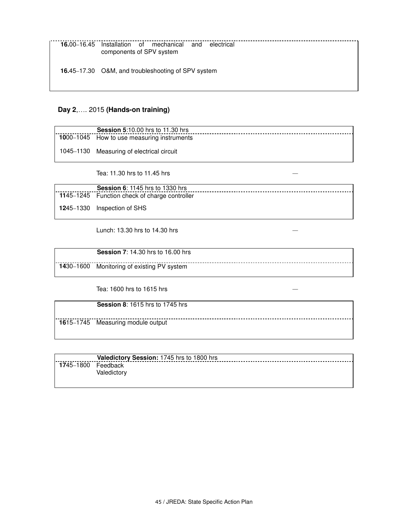**16.**45–17.30 O&M, and troubleshooting of SPV system

#### **Day 2**,…. 2015 **(Hands-on training)**

| <b>Session 5:10.00 hrs to 11.30 hrs</b>    |
|--------------------------------------------|
| 1000-1045 How to use measuring instruments |
| 1045–1130 Measuring of electrical circuit  |
| Tea: 11.30 hrs to 11.45 hrs                |

**Session 6**: 1145 hrs to 1330 hrs **11**45–1245 Function check of charge controller **12**45–1330 Inspection of SHS

Lunch: 13.30 hrs to 14.30 hrs *—*

| <b>Session 7: 14.30 hrs to 16.00 hrs</b>   |
|--------------------------------------------|
| 1430-1600 Monitoring of existing PV system |

Tea: 1600 hrs to 1615 hrs *—*

**Session 8**: 1615 hrs to 1745 hrs

**16**15–1745 Measuring module output

|           | Valedictory Session: 1745 hrs to 1800 hrs |
|-----------|-------------------------------------------|
| 1745–1800 | Feedback<br>Valedictorv                   |

<u>.............</u>.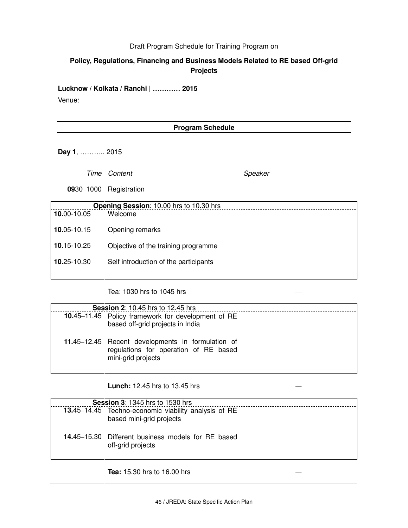#### Draft Program Schedule for Training Program on

## **Policy, Regulations, Financing and Business Models Related to RE based Off-grid Projects**

**Lucknow / Kolkata / Ranchi | ………… 2015**

Venue:

#### **Program Schedule**

**Day 1**, ……….. 2015

Time Content Speaker

**09**30–1000 Registration

|             | Opening Session: 10.00 hrs to 10.30 hrs |  |  |
|-------------|-----------------------------------------|--|--|
| 10.00-10.05 | Welcome                                 |  |  |
| 10.05-10.15 | Opening remarks                         |  |  |
| 10.15-10.25 | Objective of the training programme     |  |  |
| 10.25-10.30 | Self introduction of the participants   |  |  |

Tea: 1030 hrs to 1045 hrs —

| <b>Session 2: 10.45 hrs to 12.45 hrs</b>                                                                         |
|------------------------------------------------------------------------------------------------------------------|
| 10.45–11.45 Policy framework for development of RE<br>based off-grid projects in India                           |
| 11.45–12.45 Recent developments in formulation of<br>regulations for operation of RE based<br>mini-grid projects |

**Lunch:** 12.45 hrs to 13.45 hrs *—*

| <b>Session 3: 1345 hrs to 1530 hrs</b> |                                                                                  |  |
|----------------------------------------|----------------------------------------------------------------------------------|--|
|                                        | 13.45-14.45 Techno-economic viability analysis of RE<br>based mini-grid projects |  |
|                                        | <b>14.45–15.30</b> Different business models for RE based<br>off-grid projects   |  |
|                                        |                                                                                  |  |

**Tea:** 15.30 hrs to 16.00 hrs *—*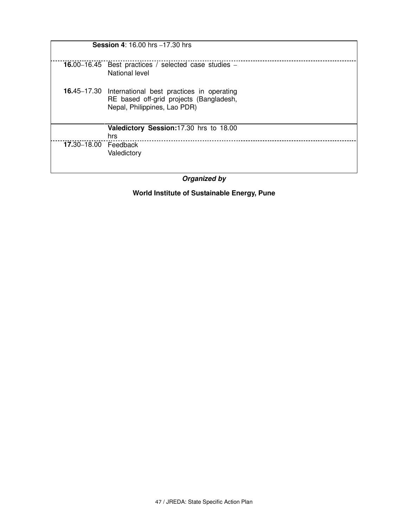| <b>Session 4: 16.00 hrs -17.30 hrs</b> |                                                                                                                                  |  |  |  |  |
|----------------------------------------|----------------------------------------------------------------------------------------------------------------------------------|--|--|--|--|
|                                        | 16.00–16.45 Best practices / selected case studies –<br>National level                                                           |  |  |  |  |
|                                        | 16.45-17.30 International best practices in operating<br>RE based off-grid projects (Bangladesh,<br>Nepal, Philippines, Lao PDR) |  |  |  |  |
|                                        | Valedictory Session: 17.30 hrs to 18.00<br>hrs                                                                                   |  |  |  |  |
| 17.30-18.00 Feedback                   | Valedictory                                                                                                                      |  |  |  |  |

**Organized by**

**World Institute of Sustainable Energy, Pune**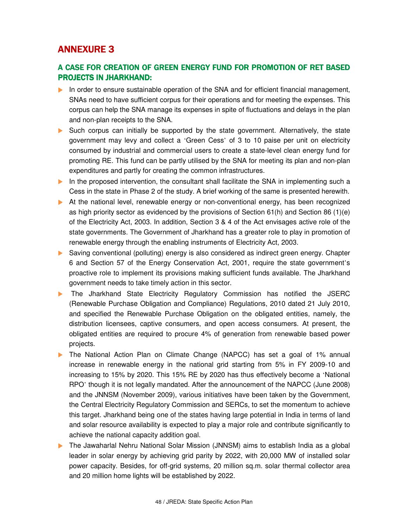## **ANNEXURE 3**

## A CASE FOR CREATION OF GREEN ENERGY FUND FOR PROMOTION OF RET BASED **PROJECTS IN JHARKHAND:**

- In order to ensure sustainable operation of the SNA and for efficient financial management, SNAs need to have sufficient corpus for their operations and for meeting the expenses. This corpus can help the SNA manage its expenses in spite of fluctuations and delays in the plan and non-plan receipts to the SNA.
- ▶ Such corpus can initially be supported by the state government. Alternatively, the state government may levy and collect a 'Green Cess' of 3 to 10 paise per unit on electricity consumed by industrial and commercial users to create a state-level clean energy fund for promoting RE. This fund can be partly utilised by the SNA for meeting its plan and non-plan expenditures and partly for creating the common infrastructures.
- In the proposed intervention, the consultant shall facilitate the SNA in implementing such a Cess in the state in Phase 2 of the study. A brief working of the same is presented herewith.
- At the national level, renewable energy or non-conventional energy, has been recognized as high priority sector as evidenced by the provisions of Section 61(h) and Section 86 (1)(e) of the Electricity Act, 2003. In addition, Section 3 & 4 of the Act envisages active role of the state governments. The Government of Jharkhand has a greater role to play in promotion of renewable energy through the enabling instruments of Electricity Act, 2003.
- Saving conventional (polluting) energy is also considered as indirect green energy. Chapter 6 and Section 57 of the Energy Conservation Act, 2001, require the state government's proactive role to implement its provisions making sufficient funds available. The Jharkhand government needs to take timely action in this sector.
- The Jharkhand State Electricity Regulatory Commission has notified the JSERC (Renewable Purchase Obligation and Compliance) Regulations, 2010 dated 21 July 2010, and specified the Renewable Purchase Obligation on the obligated entities, namely, the distribution licensees, captive consumers, and open access consumers. At present, the obligated entities are required to procure 4% of generation from renewable based power projects.
- The National Action Plan on Climate Change (NAPCC) has set a goal of 1% annual increase in renewable energy in the national grid starting from 5% in FY 2009-10 and increasing to 15% by 2020. This 15% RE by 2020 has thus effectively become a 'National RPO' though it is not legally mandated. After the announcement of the NAPCC (June 2008) and the JNNSM (November 2009), various initiatives have been taken by the Government, the Central Electricity Regulatory Commission and SERCs, to set the momentum to achieve this target. Jharkhand being one of the states having large potential in India in terms of land and solar resource availability is expected to play a major role and contribute significantly to achieve the national capacity addition goal.
- **The Jawaharlal Nehru National Solar Mission (JNNSM) aims to establish India as a global** leader in solar energy by achieving grid parity by 2022, with 20,000 MW of installed solar power capacity. Besides, for off-grid systems, 20 million sq.m. solar thermal collector area and 20 million home lights will be established by 2022.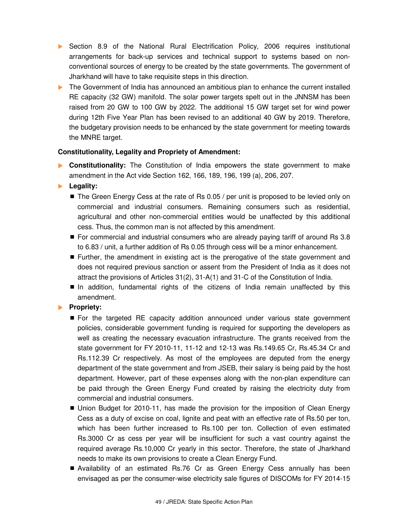- Section 8.9 of the National Rural Electrification Policy, 2006 requires institutional arrangements for back-up services and technical support to systems based on nonconventional sources of energy to be created by the state governments. The government of Jharkhand will have to take requisite steps in this direction.
- The Government of India has announced an ambitious plan to enhance the current installed RE capacity (32 GW) manifold. The solar power targets spelt out in the JNNSM has been raised from 20 GW to 100 GW by 2022. The additional 15 GW target set for wind power during 12th Five Year Plan has been revised to an additional 40 GW by 2019. Therefore, the budgetary provision needs to be enhanced by the state government for meeting towards the MNRE target.

#### **Constitutionality, Legality and Propriety of Amendment:**

- **Constitutionality:** The Constitution of India empowers the state government to make amendment in the Act vide Section 162, 166, 189, 196, 199 (a), 206, 207.
- **Legality:** 
	- $\blacksquare$  The Green Energy Cess at the rate of Rs 0.05 / per unit is proposed to be levied only on commercial and industrial consumers. Remaining consumers such as residential, agricultural and other non-commercial entities would be unaffected by this additional cess. Thus, the common man is not affected by this amendment.
	- For commercial and industrial consumers who are already paying tariff of around Rs 3.8 to 6.83 / unit, a further addition of Rs 0.05 through cess will be a minor enhancement.
	- Further, the amendment in existing act is the prerogative of the state government and does not required previous sanction or assent from the President of India as it does not attract the provisions of Articles 31(2), 31-A(1) and 31-C of the Constitution of India.
	- In addition, fundamental rights of the citizens of India remain unaffected by this amendment.

## **Propriety:**

- For the targeted RE capacity addition announced under various state government policies, considerable government funding is required for supporting the developers as well as creating the necessary evacuation infrastructure. The grants received from the state government for FY 2010-11, 11-12 and 12-13 was Rs.149.65 Cr, Rs.45.34 Cr and Rs.112.39 Cr respectively. As most of the employees are deputed from the energy department of the state government and from JSEB, their salary is being paid by the host department. However, part of these expenses along with the non-plan expenditure can be paid through the Green Energy Fund created by raising the electricity duty from commercial and industrial consumers.
- Union Budget for 2010-11, has made the provision for the imposition of Clean Energy Cess as a duty of excise on coal, lignite and peat with an effective rate of Rs.50 per ton, which has been further increased to Rs.100 per ton. Collection of even estimated Rs.3000 Cr as cess per year will be insufficient for such a vast country against the required average Rs.10,000 Cr yearly in this sector. Therefore, the state of Jharkhand needs to make its own provisions to create a Clean Energy Fund.
- Availability of an estimated Rs.76 Cr as Green Energy Cess annually has been envisaged as per the consumer-wise electricity sale figures of DISCOMs for FY 2014-15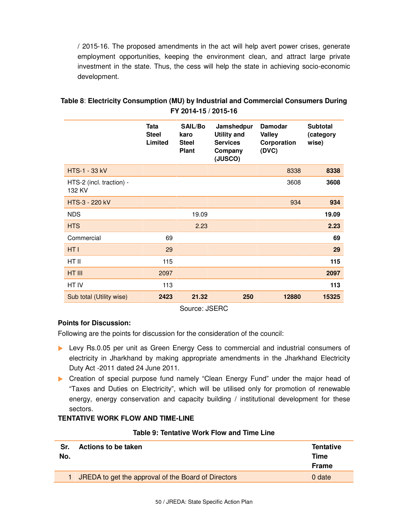/ 2015-16. The proposed amendments in the act will help avert power crises, generate employment opportunities, keeping the environment clean, and attract large private investment in the state. Thus, the cess will help the state in achieving socio-economic development.

| Tata<br><b>SAIL/Bo</b><br><b>Damodar</b><br><b>Subtotal</b><br>Jamshedpur<br><b>Steel</b><br><b>Utility and</b><br><b>Valley</b><br>karo<br>(category<br>Limited<br><b>Services</b><br><b>Steel</b><br>Corporation<br>wise)<br><b>Plant</b><br>(DVC)<br>Company<br>(JUSCO)<br><b>HTS-1 - 33 kV</b><br>8338<br>8338<br>HTS-2 (incl. traction) -<br>3608<br>3608<br>132 KV<br>HTS-3 - 220 kV<br>934<br>934<br><b>NDS</b><br>19.09<br>19.09<br><b>HTS</b><br>2.23<br>2.23<br>Commercial<br>69<br>69<br>HT I<br>29<br>29<br>HT II<br>115<br>115<br>HT III<br>2097<br>2097<br>HT IV<br>113<br>113<br>Sub total (Utility wise)<br>21.32<br>250<br>12880<br>15325<br>2423 |  |  |  |
|--------------------------------------------------------------------------------------------------------------------------------------------------------------------------------------------------------------------------------------------------------------------------------------------------------------------------------------------------------------------------------------------------------------------------------------------------------------------------------------------------------------------------------------------------------------------------------------------------------------------------------------------------------------------|--|--|--|
|                                                                                                                                                                                                                                                                                                                                                                                                                                                                                                                                                                                                                                                                    |  |  |  |
|                                                                                                                                                                                                                                                                                                                                                                                                                                                                                                                                                                                                                                                                    |  |  |  |
|                                                                                                                                                                                                                                                                                                                                                                                                                                                                                                                                                                                                                                                                    |  |  |  |
|                                                                                                                                                                                                                                                                                                                                                                                                                                                                                                                                                                                                                                                                    |  |  |  |
|                                                                                                                                                                                                                                                                                                                                                                                                                                                                                                                                                                                                                                                                    |  |  |  |
|                                                                                                                                                                                                                                                                                                                                                                                                                                                                                                                                                                                                                                                                    |  |  |  |
|                                                                                                                                                                                                                                                                                                                                                                                                                                                                                                                                                                                                                                                                    |  |  |  |
|                                                                                                                                                                                                                                                                                                                                                                                                                                                                                                                                                                                                                                                                    |  |  |  |
|                                                                                                                                                                                                                                                                                                                                                                                                                                                                                                                                                                                                                                                                    |  |  |  |
|                                                                                                                                                                                                                                                                                                                                                                                                                                                                                                                                                                                                                                                                    |  |  |  |
|                                                                                                                                                                                                                                                                                                                                                                                                                                                                                                                                                                                                                                                                    |  |  |  |
|                                                                                                                                                                                                                                                                                                                                                                                                                                                                                                                                                                                                                                                                    |  |  |  |

## **Table 8**: **Electricity Consumption (MU) by Industrial and Commercial Consumers During FY 2014-15 / 2015-16**

Source: JSERC

## **Points for Discussion:**

Following are the points for discussion for the consideration of the council:

- Levy Rs.0.05 per unit as Green Energy Cess to commercial and industrial consumers of electricity in Jharkhand by making appropriate amendments in the Jharkhand Electricity Duty Act -2011 dated 24 June 2011.
- Creation of special purpose fund namely "Clean Energy Fund" under the major head of "Taxes and Duties on Electricity", which will be utilised only for promotion of renewable energy, energy conservation and capacity building / institutional development for these sectors.

## **TENTATIVE WORK FLOW AND TIME-LINE**

#### **Table 9: Tentative Work Flow and Time Line**

| Sr.<br>No. | Actions to be taken                                   | <b>Tentative</b><br>Time<br><b>Frame</b> |
|------------|-------------------------------------------------------|------------------------------------------|
|            | 1 JREDA to get the approval of the Board of Directors | 0 date                                   |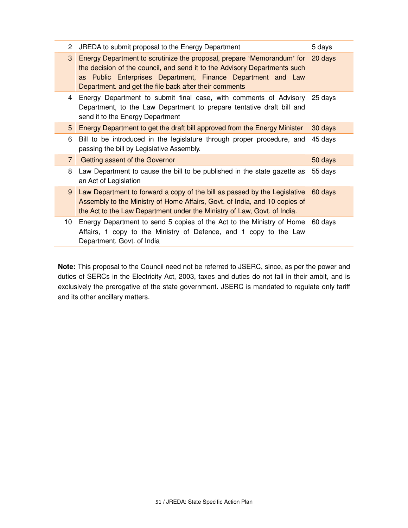| 2              | JREDA to submit proposal to the Energy Department                                                                                                                                                                                                                                     | 5 days  |
|----------------|---------------------------------------------------------------------------------------------------------------------------------------------------------------------------------------------------------------------------------------------------------------------------------------|---------|
| 3              | Energy Department to scrutinize the proposal, prepare 'Memorandum' for 20 days<br>the decision of the council, and send it to the Advisory Departments such<br>as Public Enterprises Department, Finance Department and Law<br>Department, and get the file back after their comments |         |
| 4              | Energy Department to submit final case, with comments of Advisory 25 days<br>Department, to the Law Department to prepare tentative draft bill and<br>send it to the Energy Department                                                                                                |         |
| 5              | Energy Department to get the draft bill approved from the Energy Minister                                                                                                                                                                                                             | 30 days |
| 6              | Bill to be introduced in the legislature through proper procedure, and<br>passing the bill by Legislative Assembly.                                                                                                                                                                   | 45 days |
| $\overline{7}$ | Getting assent of the Governor                                                                                                                                                                                                                                                        | 50 days |
| 8              | Law Department to cause the bill to be published in the state gazette as<br>an Act of Legislation                                                                                                                                                                                     | 55 days |
| 9              | Law Department to forward a copy of the bill as passed by the Legislative<br>Assembly to the Ministry of Home Affairs, Govt. of India, and 10 copies of<br>the Act to the Law Department under the Ministry of Law, Govt. of India.                                                   | 60 days |
| 10             | Energy Department to send 5 copies of the Act to the Ministry of Home<br>Affairs, 1 copy to the Ministry of Defence, and 1 copy to the Law<br>Department, Govt. of India                                                                                                              | 60 days |

**Note:** This proposal to the Council need not be referred to JSERC, since, as per the power and duties of SERCs in the Electricity Act, 2003, taxes and duties do not fall in their ambit, and is exclusively the prerogative of the state government. JSERC is mandated to regulate only tariff and its other ancillary matters.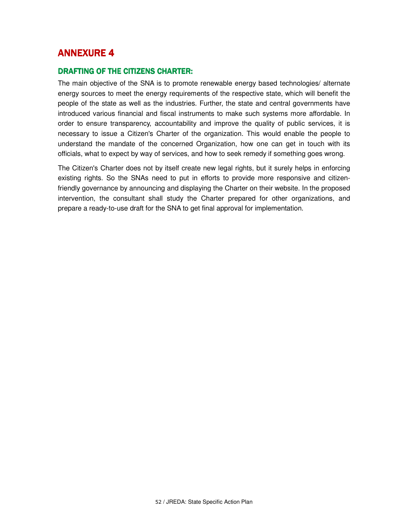## **ANNEXURE 4**

#### DRAFTING OF THE CITIZENS CHARTER:

The main objective of the SNA is to promote renewable energy based technologies/ alternate energy sources to meet the energy requirements of the respective state, which will benefit the people of the state as well as the industries. Further, the state and central governments have introduced various financial and fiscal instruments to make such systems more affordable. In order to ensure transparency, accountability and improve the quality of public services, it is necessary to issue a Citizen's Charter of the organization. This would enable the people to understand the mandate of the concerned Organization, how one can get in touch with its officials, what to expect by way of services, and how to seek remedy if something goes wrong.

The Citizen's Charter does not by itself create new legal rights, but it surely helps in enforcing existing rights. So the SNAs need to put in efforts to provide more responsive and citizenfriendly governance by announcing and displaying the Charter on their website. In the proposed intervention, the consultant shall study the Charter prepared for other organizations, and prepare a ready-to-use draft for the SNA to get final approval for implementation.